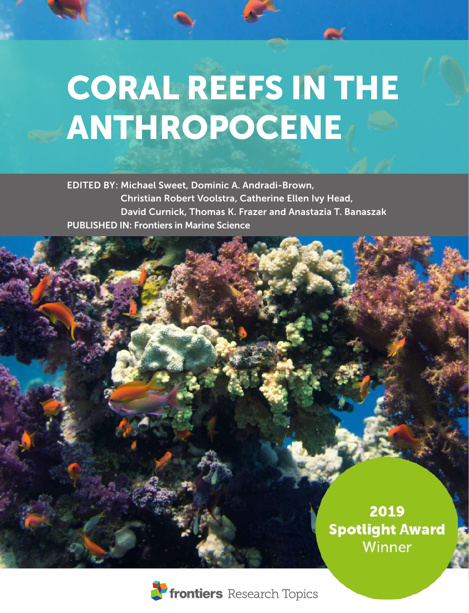# [CORAL REEFS IN THE](https://www.frontiersin.org/research-topics/6185/coral-reefs-in-the-anthropocene)  [ANTHROPOCENE](https://www.frontiersin.org/research-topics/6185/coral-reefs-in-the-anthropocene)

EDITED BY : Michael Sweet, Dominic A. Andradi-Brown, Christian Robert Voolstra, Catherine Ellen Ivy Head, David Curnick, Thomas K. Frazer and Anastazia T. Banaszak PUBLISHED IN : [Frontiers in Marine Science](https://www.frontiersin.org/journals/marine-science)

> 2019 **Spotlight Award** Winner

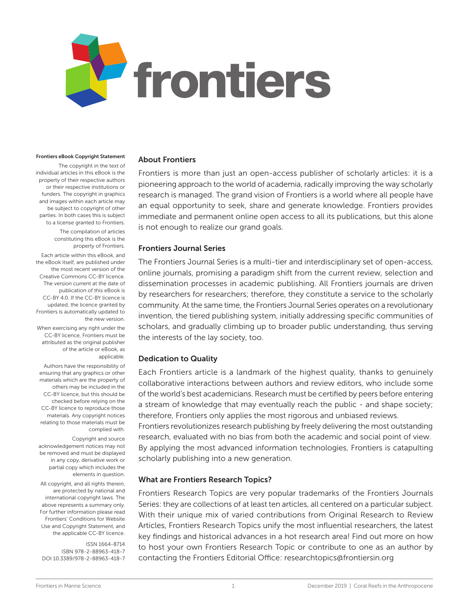

#### Frontiers eBook Copyright Statement

The copyright in the text of individual articles in this eBook is the property of their respective authors or their respective institutions or funders. The copyright in graphics and images within each article may be subject to copyright of other parties. In both cases this is subject to a license granted to Frontiers. The compilation of articles constituting this eBook is the property of Frontiers.

Each article within this eBook, and the eBook itself, are published under the most recent version of the Creative Commons [CC-BY licence.](https://creativecommons.org/licenses/by/4.0/) The version current at the date of publication of this eBook is [CC-BY 4.0.](https://creativecommons.org/licenses/by/4.0/) If the [CC-BY licence](https://creativecommons.org/licenses/by/4.0/) is updated, the licence granted by Frontiers is automatically updated to the new version.

When exercising any right under the [CC-BY licence,](https://creativecommons.org/licenses/by/4.0/) Frontiers must be attributed as the original publisher of the article or eBook, as applicable.

Authors have the responsibility of ensuring that any graphics or other materials which are the property of others may be included in the [CC-BY licence,](https://creativecommons.org/licenses/by/4.0/) but this should be checked before relying on the [CC-BY licence](https://creativecommons.org/licenses/by/4.0/) to reproduce those materials. Any copyright notices relating to those materials must be complied with.

Copyright and source acknowledgement notices may not be removed and must be displayed in any copy, derivative work or partial copy which includes the elements in question.

All copyright, and all rights therein, are protected by national and international copyright laws. The above represents a summary only. For further information please read Frontiers' Conditions for Website Use and Copyright Statement, and the applicable [CC-BY licence.](https://creativecommons.org/licenses/by/4.0/)

ISSN 1664-8714 ISBN 978-2-88963-418-7 DOI 10.3389/978-2-88963-418-7

#### About Frontiers

Frontiers is more than just an open-access publisher of scholarly articles: it is a pioneering approach to the world of academia, radically improving the way scholarly research is managed. The grand vision of Frontiers is a world where all people have an equal opportunity to seek, share and generate knowledge. Frontiers provides immediate and permanent online open access to all its publications, but this alone is not enough to realize our grand goals.

#### Frontiers Journal Series

The Frontiers Journal Series is a multi-tier and interdisciplinary set of open-access, online journals, promising a paradigm shift from the current review, selection and dissemination processes in academic publishing. All Frontiers journals are driven by researchers for researchers; therefore, they constitute a service to the scholarly community. At the same time, the Frontiers Journal Series operates on a revolutionary invention, the tiered publishing system, initially addressing specific communities of scholars, and gradually climbing up to broader public understanding, thus serving the interests of the lay society, too.

#### Dedication to Quality

Each Frontiers article is a landmark of the highest quality, thanks to genuinely collaborative interactions between authors and review editors, who include some of the world's best academicians. Research must be certified by peers before entering a stream of knowledge that may eventually reach the public - and shape society; therefore, Frontiers only applies the most rigorous and unbiased reviews.

Frontiers revolutionizes research publishing by freely delivering the most outstanding research, evaluated with no bias from both the academic and social point of view. By applying the most advanced information technologies, Frontiers is catapulting scholarly publishing into a new generation.

#### What are Frontiers Research Topics?

Frontiers Research Topics are very popular trademarks of the Frontiers Journals Series: they are collections of at least ten articles, all centered on a particular subject. With their unique mix of varied contributions from Original Research to Review Articles, Frontiers Research Topics unify the most influential researchers, the latest key findings and historical advances in a hot research area! Find out more on how to host your own Frontiers Research Topic or contribute to one as an author by contacting the Frontiers Editorial Office: [researchtopics@frontiersin.org](mailto:researchtopics@frontiersin.org)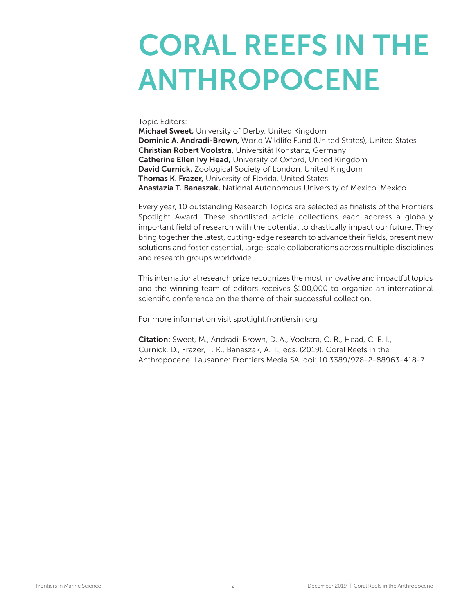# CORAL REEFS IN THE ANTHROPOCENE

Topic Editors:

Michael Sweet, University of Derby, United Kingdom Dominic A. Andradi-Brown, World Wildlife Fund (United States), United States Christian Robert Voolstra, Universität Konstanz, Germany Catherine Ellen Ivy Head, University of Oxford, United Kingdom David Curnick, Zoological Society of London, United Kingdom Thomas K. Frazer, University of Florida, United States Anastazia T. Banaszak, National Autonomous University of Mexico, Mexico

Every year, 10 outstanding Research Topics are selected as finalists of the Frontiers Spotlight Award. These shortlisted article collections each address a globally important field of research with the potential to drastically impact our future. They bring together the latest, cutting-edge research to advance their fields, present new solutions and foster essential, large-scale collaborations across multiple disciplines and research groups worldwide.

This international research prize recognizes the most innovative and impactful topics and the winning team of editors receives \$100,000 to organize an international scientific conference on the theme of their successful collection.

For more information visit [spotlight.frontiersin.org](https://spotlight.frontiersin.org/)

Citation: Sweet, M., Andradi-Brown, D. A., Voolstra, C. R., Head, C. E. I., Curnick, D., Frazer, T. K., Banaszak, A. T., eds. (2019). Coral Reefs in the Anthropocene. Lausanne: Frontiers Media SA. doi: [10.3389/978-2-88963-418-7](http://doi.org/10.3389/978-2-88963-418-7)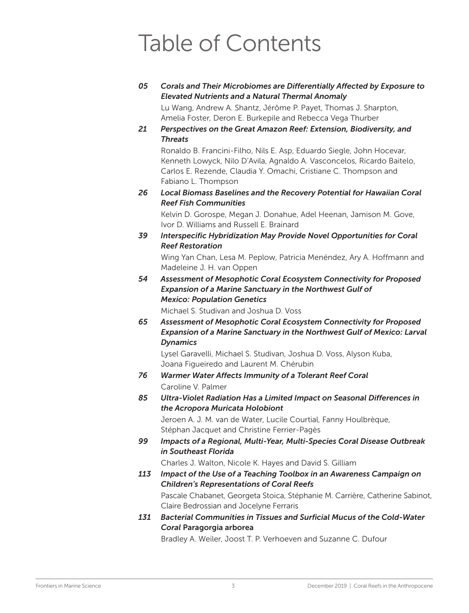# Table of Contents

*05 Corals and Their Microbiomes are Differentially Affected by Exposure to Elevated Nutrients and a Natural Thermal Anomaly*

Lu Wang, Andrew A. Shantz, Jérôme P. Payet, Thomas J. Sharpton, Amelia Foster, Deron E. Burkepile and Rebecca Vega Thurber

*21 Perspectives on the Great Amazon Reef: Extension, Biodiversity, and Threats*

Ronaldo B. Francini-Filho, Nils E. Asp, Eduardo Siegle, John Hocevar, Kenneth Lowyck, Nilo D'Avila, Agnaldo A. Vasconcelos, Ricardo Baitelo, Carlos E. Rezende, Claudia Y. Omachi, Cristiane C. Thompson and Fabiano L. Thompson

*26 Local Biomass Baselines and the Recovery Potential for Hawaiian Coral Reef Fish Communities*

Kelvin D. Gorospe, Megan J. Donahue, Adel Heenan, Jamison M. Gove, Ivor D. Williams and Russell E. Brainard

*39 Interspecific Hybridization May Provide Novel Opportunities for Coral Reef Restoration*

Wing Yan Chan, Lesa M. Peplow, Patricia Menéndez, Ary A. Hoffmann and Madeleine J. H. van Oppen

*54 Assessment of Mesophotic Coral Ecosystem Connectivity for Proposed Expansion of a Marine Sanctuary in the Northwest Gulf of Mexico: Population Genetics*

Michael S. Studivan and Joshua D. Voss

*65 Assessment of Mesophotic Coral Ecosystem Connectivity for Proposed Expansion of a Marine Sanctuary in the Northwest Gulf of Mexico: Larval Dynamics*

Lysel Garavelli, Michael S. Studivan, Joshua D. Voss, Alyson Kuba, Joana Figueiredo and Laurent M. Chérubin

- *76 Warmer Water Affects Immunity of a Tolerant Reef Coral* Caroline V. Palmer
- *85 Ultra-Violet Radiation Has a Limited Impact on Seasonal Differences in the Acropora Muricata Holobiont*

Jeroen A. J. M. van de Water, Lucile Courtial, Fanny Houlbrèque, Stéphan Jacquet and Christine Ferrier-Pagès

*99 Impacts of a Regional, Multi-Year, Multi-Species Coral Disease Outbreak in Southeast Florida*

Charles J. Walton, Nicole K. Hayes and David S. Gilliam

*113 Impact of the Use of a Teaching Toolbox in an Awareness Campaign on Children's Representations of Coral Reefs*

Pascale Chabanet, Georgeta Stoica, Stéphanie M. Carrière, Catherine Sabinot, Claire Bedrossian and Jocelyne Ferraris

*131 Bacterial Communities in Tissues and Surficial Mucus of the Cold-Water Coral* Paragorgia arborea

Bradley A. Weiler, Joost T. P. Verhoeven and Suzanne C. Dufour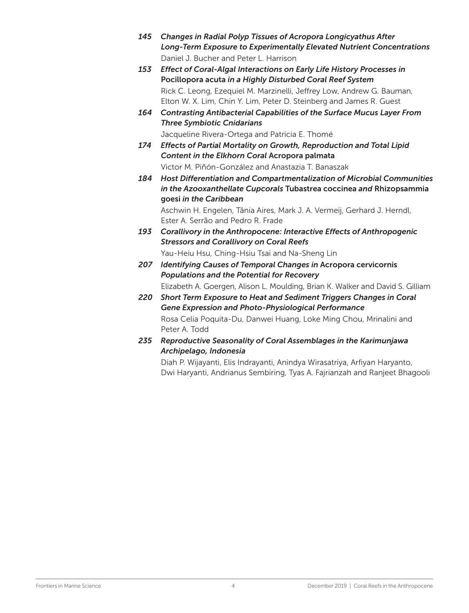- *145 Changes in Radial Polyp Tissues of Acropora Longicyathus After Long-Term Exposure to Experimentally Elevated Nutrient Concentrations* Daniel J. Bucher and Peter L. Harrison
- *153 Effect of Coral-Algal Interactions on Early Life History Processes in*  Pocillopora acuta *in a Highly Disturbed Coral Reef System* Rick C. Leong, Ezequiel M. Marzinelli, Jeffrey Low, Andrew G. Bauman, Elton W. X. Lim, Chin Y. Lim, Peter D. Steinberg and James R. Guest
- *164 Contrasting Antibacterial Capabilities of the Surface Mucus Layer From Three Symbiotic Cnidarians* Jacqueline Rivera-Ortega and Patricia E. Thomé
- *174 Effects of Partial Mortality on Growth, Reproduction and Total Lipid Content in the Elkhorn Coral* Acropora palmata Victor M. Piñón-González and Anastazia T. Banaszak
- *184 Host Differentiation and Compartmentalization of Microbial Communities in the Azooxanthellate Cupcorals* Tubastrea coccinea *and* Rhizopsammia goesi *in the Caribbean* Aschwin H. Engelen, Tânia Aires, Mark J. A. Vermeij, Gerhard J. Herndl,

Ester A. Serrão and Pedro R. Frade

*193 Corallivory in the Anthropocene: Interactive Effects of Anthropogenic Stressors and Corallivory on Coral Reefs*

Yau-Heiu Hsu, Ching-Hsiu Tsai and Na-Sheng Lin

*207 Identifying Causes of Temporal Changes in* Acropora cervicornis *Populations and the Potential for Recovery* Elizabeth A. Goergen, Alison L. Moulding, Brian K. Walker and David S. Gilliam

*220 Short Term Exposure to Heat and Sediment Triggers Changes in Coral Gene Expression and Photo-Physiological Performance* Rosa Celia Poquita-Du, Danwei Huang, Loke Ming Chou, Mrinalini and

Peter A. Todd

*235 [Reproductive Seasonality of Coral Assemblages in the Karimunjawa](#page-6-0)  Archipelago, Indonesia*

Diah P. Wijayanti, Elis Indrayanti, Anindya Wirasatriya, Arfiyan Haryanto, Dwi Haryanti, Andrianus Sembiring, Tyas A. Fajrianzah and Ranjeet Bhagooli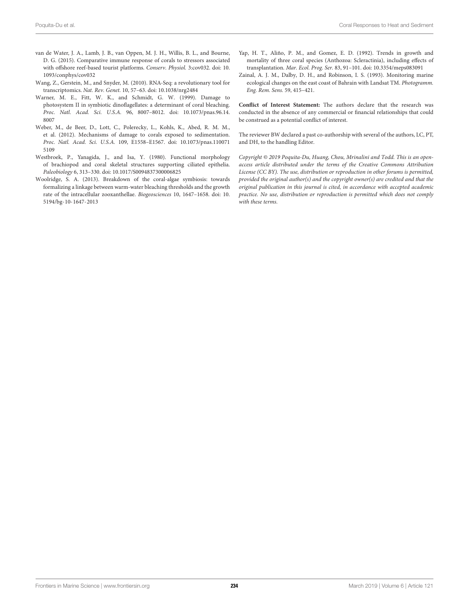- van de Water, J. A., Lamb, J. B., van Oppen, M. J. H., Willis, B. L., and Bourne, D. G. (2015). Comparative immune response of corals to stressors associated with offshore reef-based tourist platforms. Conserv. Physiol. 3:cov032. [doi: 10.](https://doi.org/10.1093/conphys/cov032) [1093/conphys/cov032](https://doi.org/10.1093/conphys/cov032)
- Wang, Z., Gerstein, M., and Snyder, M. (2010). RNA-Seq: a revolutionary tool for transcriptomics. Nat. Rev. Genet. 10, 57–63. [doi: 10.1038/nrg2484](https://doi.org/10.1038/nrg2484)
- Warner, M. E., Fitt, W. K., and Schmidt, G. W. (1999). Damage to photosystem II in symbiotic dinoflagellates: a determinant of coral bleaching. Proc. Natl. Acad. Sci. U.S.A. 96, 8007–8012. [doi: 10.1073/pnas.96.14.](https://doi.org/10.1073/pnas.96.14.8007) [8007](https://doi.org/10.1073/pnas.96.14.8007)
- Weber, M., de Beer, D., Lott, C., Polerecky, L., Kohls, K., Abed, R. M. M., et al. (2012). Mechanisms of damage to corals exposed to sedimentation. Proc. Natl. Acad. Sci. U.S.A. 109, E1558–E1567. [doi: 10.1073/pnas.110071](https://doi.org/10.1073/pnas.1100715109) [5109](https://doi.org/10.1073/pnas.1100715109)
- Westbroek, P., Yanagida, J., and Isa, Y. (1980). Functional morphology of brachiopod and coral skeletal structures supporting ciliated epithelia. Paleobiology 6, 313–330. [doi: 10.1017/S0094837300006825](https://doi.org/10.1017/S0094837300006825)
- Woolridge, S. A. (2013). Breakdown of the coral-algae symbiosis: towards formalizing a linkage between warm-water bleaching thresholds and the growth rate of the intracellular zooxanthellae. Biogeosciences 10, 1647–1658. [doi: 10.](https://doi.org/10.5194/bg-10-1647-2013) [5194/bg-10-1647-2013](https://doi.org/10.5194/bg-10-1647-2013)
- Yap, H. T., Aliño, P. M., and Gomez, E. D. (1992). Trends in growth and mortality of three coral species (Anthozoa: Scleractinia), including effects of transplantation. Mar. Ecol. Prog. Ser. 83, 91–101. [doi: 10.3354/meps083091](https://doi.org/10.3354/meps083091)
- Zainal, A. J. M., Dalby, D. H., and Robinson, I. S. (1993). Monitoring marine ecological changes on the east coast of Bahrain with Landsat TM. Photogramm. Eng. Rem. Sens. 59, 415–421.

**Conflict of Interest Statement:** The authors declare that the research was conducted in the absence of any commercial or financial relationships that could be construed as a potential conflict of interest.

The reviewer BW declared a past co-authorship with several of the authors, LC, PT, and DH, to the handling Editor.

Copyright © 2019 Poquita-Du, Huang, Chou, Mrinalini and Todd. This is an openaccess article distributed under the terms of the [Creative Commons Attribution](http://creativecommons.org/licenses/by/4.0/) [License \(CC BY\).](http://creativecommons.org/licenses/by/4.0/) The use, distribution or reproduction in other forums is permitted, provided the original author(s) and the copyright owner(s) are credited and that the original publication in this journal is cited, in accordance with accepted academic practice. No use, distribution or reproduction is permitted which does not comply with these terms.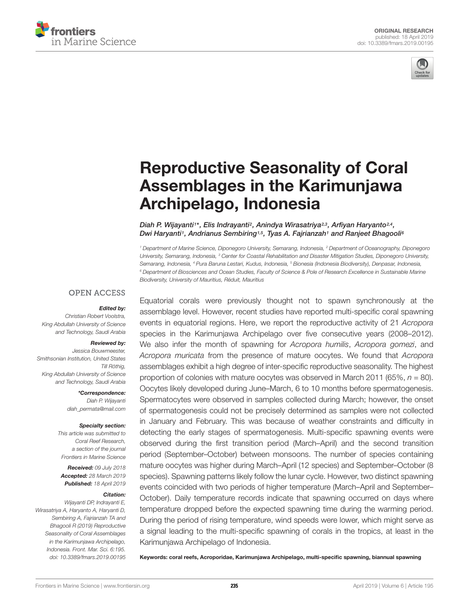<span id="page-6-0"></span>



# [Reproductive Seasonality of Coral](https://www.frontiersin.org/articles/10.3389/fmars.2019.00195/full) Assemblages in the Karimunjawa Archipelago, Indonesia

[Diah P. Wijayanti](http://loop.frontiersin.org/people/550003/overview)1\*, [Elis Indrayanti](http://loop.frontiersin.org/people/652956/overview)<sup>2</sup>, [Anindya Wirasatriya](http://loop.frontiersin.org/people/604958/overview)<sup>2,3</sup>, [Arfiyan Haryanto](http://loop.frontiersin.org/people/715852/overview)<sup>2,4</sup>, [Dwi Haryanti](http://loop.frontiersin.org/people/619903/overview)1, [Andrianus Sembiring](http://loop.frontiersin.org/people/630816/overview)1,5, [Tyas A. Fajrianzah](http://loop.frontiersin.org/people/586836/overview)1 and [Ranjeet Bhagooli](http://loop.frontiersin.org/people/586130/overview)<sup>6</sup>

<sup>1</sup> Department of Marine Science, Diponegoro University, Semarang, Indonesia, <sup>2</sup> Department of Oceanography, Diponegoro University, Semarang, Indonesia, <sup>3</sup> Center for Coastal Rehabilitation and Disaster Mitigation Studies, Diponegoro University, Semarang, Indonesia, <sup>4</sup> Pura Baruna Lestari, Kudus, Indonesia, <sup>5</sup> Bionesia (Indonesia Biodiversity), Denpasar, Indonesia, <sup>6</sup> Department of Biosciences and Ocean Studies, Faculty of Science & Pole of Research Excellence in Sustainable Marine Biodiversity, University of Mauritius, Réduit, Mauritius

#### **OPEN ACCESS**

#### Edited by:

Christian Robert Voolstra, King Abdullah University of Science and Technology, Saudi Arabia

#### Reviewed by:

Jessica Bouwmeester, Smithsonian Institution, United States Till Röthig, King Abdullah University of Science and Technology, Saudi Arabia

> \*Correspondence: Diah P. Wijayanti diah\_permata@mail.com

#### Specialty section:

This article was submitted to Coral Reef Research, a section of the journal Frontiers in Marine Science

Received: 09 July 2018 Accepted: 28 March 2019 Published: 18 April 2019

#### Citation:

Wijayanti DP, Indrayanti E, Wirasatriya A, Haryanto A, Haryanti D, Sembiring A, Fajrianzah TA and Bhagooli R (2019) Reproductive Seasonality of Coral Assemblages in the Karimunjawa Archipelago, Indonesia. Front. Mar. Sci. 6:195. doi: [10.3389/fmars.2019.00195](https://doi.org/10.3389/fmars.2019.00195) Equatorial corals were previously thought not to spawn synchronously at the assemblage level. However, recent studies have reported multi-specific coral spawning events in equatorial regions. Here, we report the reproductive activity of 21 Acropora species in the Karimunjawa Archipelago over five consecutive years (2008–2012). We also infer the month of spawning for Acropora humilis, Acropora gomezi, and Acropora muricata from the presence of mature oocytes. We found that Acropora assemblages exhibit a high degree of inter-specific reproductive seasonality. The highest proportion of colonies with mature oocytes was observed in March 2011 (65%,  $n = 80$ ). Oocytes likely developed during June–March, 6 to 10 months before spermatogenesis. Spermatocytes were observed in samples collected during March; however, the onset of spermatogenesis could not be precisely determined as samples were not collected in January and February. This was because of weather constraints and difficulty in detecting the early stages of spermatogenesis. Multi-specific spawning events were observed during the first transition period (March–April) and the second transition period (September–October) between monsoons. The number of species containing mature oocytes was higher during March–April (12 species) and September–October (8 species). Spawning patterns likely follow the lunar cycle. However, two distinct spawning events coincided with two periods of higher temperature (March–April and September– October). Daily temperature records indicate that spawning occurred on days where temperature dropped before the expected spawning time during the warming period. During the period of rising temperature, wind speeds were lower, which might serve as a signal leading to the multi-specific spawning of corals in the tropics, at least in the Karimunjawa Archipelago of Indonesia.

Keywords: coral reefs, Acroporidae, Karimunjawa Archipelago, multi-specific spawning, biannual spawning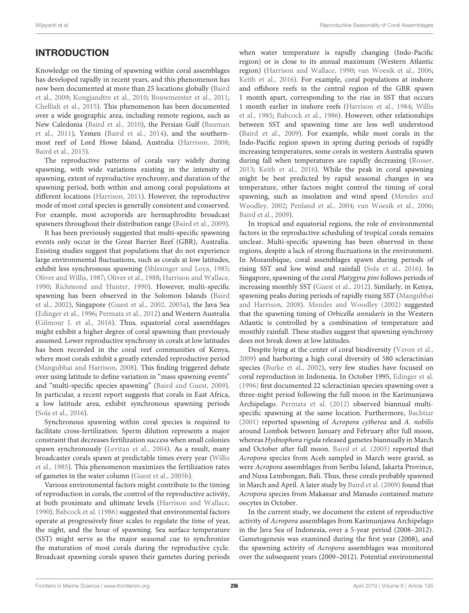# **INTRODUCTION**

Knowledge on the timing of spawning within coral assemblages has developed rapidly in recent years, and this phenomenon has now been documented at more than 25 locations globally [\(Baird](#page-19-0) [et al., 2009;](#page-19-0) [Kongjandtre et al., 2010;](#page-19-1) [Bouwmeester et al., 2011;](#page-19-2) [Chelliah et al., 2015\)](#page-19-3). This phenomenon has been documented over a wide geographic area, including remote regions, such as New Caledonia [\(Baird et al., 2010\)](#page-19-4), the Persian Gulf [\(Bauman](#page-19-5) [et al., 2011\)](#page-19-5), Yemen [\(Baird et al., 2014\)](#page-18-0), and the southernmost reef of Lord Howe Island, Australia [\(Harrison, 2008;](#page-19-6) [Baird et al., 2015\)](#page-19-7).

The reproductive patterns of corals vary widely during spawning, with wide variations existing in the intensity of spawning, extent of reproductive synchrony, and duration of the spawning period, both within and among coral populations at different locations [\(Harrison, 2011\)](#page-19-8). However, the reproductive mode of most coral species is generally consistent and conserved. For example, most acroporids are hermaphrodite broadcast spawners throughout their distribution range [\(Baird et al., 2009\)](#page-19-0).

It has been previously suggested that multi-specific spawning events only occur in the Great Barrier Reef (GBR), Australia. Existing studies suggest that populations that do not experience large environmental fluctuations, such as corals at low latitudes, exhibit less synchronous spawning [\(Shlesinger and Loya, 1985;](#page-19-9) [Oliver and Willis, 1987;](#page-19-10) [Oliver et al., 1988;](#page-19-11) [Harrison and Wallace,](#page-19-12) [1990;](#page-19-12) [Richmond and Hunter, 1990\)](#page-19-13). However, multi-specific spawning has been observed in the Solomon Islands [\(Baird](#page-19-14) [et al., 2002\)](#page-19-14), Singapore [\(Guest et al., 2002,](#page-19-15) [2005a\)](#page-19-16), the Java Sea [\(Edinger et al., 1996;](#page-19-17) [Permata et al., 2012\)](#page-19-18) and Western Australia [\(Gilmour J. et al., 2016\)](#page-19-19). Thus, equatorial coral assemblages might exhibit a higher degree of coral spawning than previously assumed. Lower reproductive synchrony in corals at low latitudes has been recorded in the coral reef communities of Kenya, where most corals exhibit a greatly extended reproductive period [\(Mangubhai and Harrison, 2008\)](#page-19-20). This finding triggered debate over using latitude to define variation in "mass spawning events" and "multi-specific species spawning" [\(Baird and Guest, 2009\)](#page-19-21). In particular, a recent report suggests that corals in East Africa, a low latitude area, exhibit synchronous spawning periods [\(Sola et al., 2016\)](#page-20-0).

Synchronous spawning within coral species is required to facilitate cross-fertilization. Sperm dilution represents a major constraint that decreases fertilization success when small colonies spawn synchronously [\(Levitan et al., 2004\)](#page-19-22). As a result, many broadcaster corals spawn at predictable times every year [\(Willis](#page-20-1) [et al., 1985\)](#page-20-1). This phenomenon maximizes the fertilization rates of gametes in the water column [\(Guest et al., 2005b\)](#page-19-23).

Various environmental factors might contribute to the timing of reproduction in corals, the control of the reproductive activity, at both proximate and ultimate levels [\(Harrison and Wallace,](#page-19-12) [1990\)](#page-19-12). [Babcock et al.](#page-18-1) [\(1986\)](#page-18-1) suggested that environmental factors operate at progressively finer scales to regulate the time of year, the night, and the hour of spawning. Sea surface temperature (SST) might serve as the major seasonal cue to synchronize the maturation of most corals during the reproductive cycle. Broadcast spawning corals spawn their gametes during periods

when water temperature is rapidly changing (Indo-Pacific region) or is close to its annual maximum (Western Atlantic region) [\(Harrison and Wallace, 1990;](#page-19-12) [van Woesik et al., 2006;](#page-20-2) [Keith et al., 2016\)](#page-19-24). For example, coral populations at inshore and offshore reefs in the central region of the GBR spawn 1 month apart, corresponding to the rise in SST that occurs 1 month earlier in inshore reefs [\(Harrison et al., 1984;](#page-19-25) [Willis](#page-20-1) [et al., 1985;](#page-20-1) [Babcock et al., 1986\)](#page-18-1). However, other relationships between SST and spawning time are less well understood [\(Baird et al., 2009\)](#page-19-0). For example, while most corals in the Indo-Pacific region spawn in spring during periods of rapidly increasing temperatures, some corals in western Australia spawn during fall when temperatures are rapidly decreasing [\(Rosser,](#page-19-26) [2013;](#page-19-26) [Keith et al., 2016\)](#page-19-24). While the peak in coral spawning might be best predicted by rapid seasonal changes in sea temperature, other factors might control the timing of coral spawning, such as insolation and wind speed [\(Mendes and](#page-19-27) [Woodley, 2002;](#page-19-27) [Penland et al., 2004;](#page-19-28) [van Woesik et al., 2006;](#page-20-2) [Baird et al., 2009\)](#page-19-0).

In tropical and equatorial regions, the role of environmental factors in the reproductive scheduling of tropical corals remains unclear. Multi-specific spawning has been observed in these regions, despite a lack of strong fluctuations in the environment. In Mozambique, coral assemblages spawn during periods of rising SST and low wind and rainfall [\(Sola et al., 2016\)](#page-20-0). In Singapore, spawning of the coral Platygyra pini follows periods of increasing monthly SST [\(Guest et al., 2012\)](#page-19-29). Similarly, in Kenya, spawning peaks during periods of rapidly rising SST [\(Mangubhai](#page-19-20) [and Harrison, 2008\)](#page-19-20). [Mendes and Woodley](#page-19-27) [\(2002\)](#page-19-27) suggested that the spawning timing of Orbicella annularis in the Western Atlantic is controlled by a combination of temperature and monthly rainfall. These studies suggest that spawning synchrony does not break down at low latitudes.

Despite lying at the center of coral biodiversity [\(Veron et al.,](#page-20-3) [2009\)](#page-20-3) and harboring a high coral diversity of 580 scleractinian species [\(Burke et al., 2002\)](#page-19-30), very few studies have focused on coral reproduction in Indonesia. In October 1995, [Edinger et al.](#page-19-17) [\(1996\)](#page-19-17) first documented 22 scleractinian species spawning over a three-night period following the full moon in the Karimunjawa Archipelago. [Permata et al.](#page-19-18) [\(2012\)](#page-19-18) observed biannual multispecific spawning at the same location. Furthermore, [Bachtiar](#page-18-2) [\(2001\)](#page-18-2) reported spawning of Acropora cytherea and A. nobilis around Lombok between January and February after full moon, whereas Hydnophora rigida released gametes biannually in March and October after full moon. [Baird et al.](#page-19-31) [\(2005\)](#page-19-31) reported that Acropora species from Aceh sampled in March were gravid, as were Acropora assemblages from Seribu Island, Jakarta Province, and Nusa Lembongan, Bali. Thus, these corals probably spawned in March and April. A later study by [Baird et al.](#page-19-0) [\(2009\)](#page-19-0) found that Acropora species from Makassar and Manado contained mature oocytes in October.

In the current study, we document the extent of reproductive activity of Acropora assemblages from Karimunjawa Archipelago in the Java Sea of Indonesia, over a 5-year period (2008–2012). Gametogenesis was examined during the first year (2008), and the spawning activity of Acropora assemblages was monitored over the subsequent years (2009–2012). Potential environmental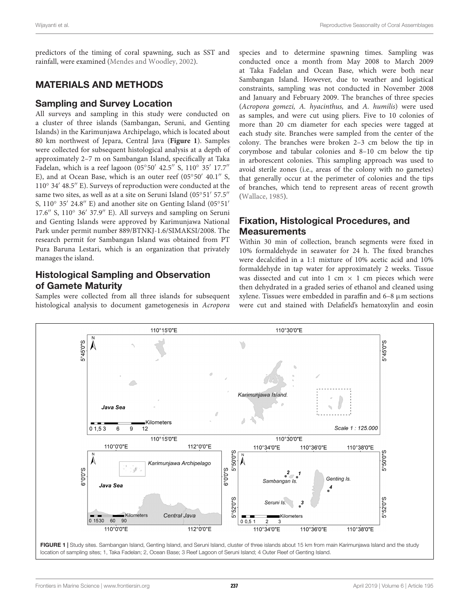predictors of the timing of coral spawning, such as SST and rainfall, were examined [\(Mendes and Woodley, 2002\)](#page-19-27).

# MATERIALS AND METHODS

### Sampling and Survey Location

All surveys and sampling in this study were conducted on a cluster of three islands (Sambangan, Seruni, and Genting Islands) in the Karimunjawa Archipelago, which is located about 80 km northwest of Jepara, Central Java (**[Figure 1](#page-8-0)**). Samples were collected for subsequent histological analysis at a depth of approximately 2–7 m on Sambangan Island, specifically at Taka Fadelan, which is a reef lagoon (05°50' 42.5" S, 110° 35' 17.7" E), and at Ocean Base, which is an outer reef  $(05^{\circ}50'$  40.1" S, 110° 34' 48.5" E). Surveys of reproduction were conducted at the same two sites, as well as at a site on Seruni Island (05°51' 57.5" S,  $110^{\circ}$  35' 24.8" E) and another site on Genting Island (05°51' 17.6" S, 110° 36' 37.9" E). All surveys and sampling on Seruni and Genting Islands were approved by Karimunjawa National Park under permit number 889/BTNKJ-1.6/SIMAKSI/2008. The research permit for Sambangan Island was obtained from PT Pura Baruna Lestari, which is an organization that privately manages the island.

# Histological Sampling and Observation of Gamete Maturity

Samples were collected from all three islands for subsequent histological analysis to document gametogenesis in Acropora species and to determine spawning times. Sampling was conducted once a month from May 2008 to March 2009 at Taka Fadelan and Ocean Base, which were both near Sambangan Island. However, due to weather and logistical constraints, sampling was not conducted in November 2008 and January and February 2009. The branches of three species (Acropora gomezi, A. hyacinthus, and A. humilis) were used as samples, and were cut using pliers. Five to 10 colonies of more than 20 cm diameter for each species were tagged at each study site. Branches were sampled from the center of the colony. The branches were broken 2–3 cm below the tip in corymbose and tabular colonies and 8–10 cm below the tip in arborescent colonies. This sampling approach was used to avoid sterile zones (i.e., areas of the colony with no gametes) that generally occur at the perimeter of colonies and the tips of branches, which tend to represent areas of recent growth [\(Wallace, 1985\)](#page-20-4).

# Fixation, Histological Procedures, and **Measurements**

Within 30 min of collection, branch segments were fixed in 10% formaldehyde in seawater for 24 h. The fixed branches were decalcified in a 1:1 mixture of 10% acetic acid and 10% formaldehyde in tap water for approximately 2 weeks. Tissue was dissected and cut into 1 cm  $\times$  1 cm pieces which were then dehydrated in a graded series of ethanol and cleaned using xylene. Tissues were embedded in paraffin and 6–8 µm sections were cut and stained with Delafield's hematoxylin and eosin

<span id="page-8-0"></span>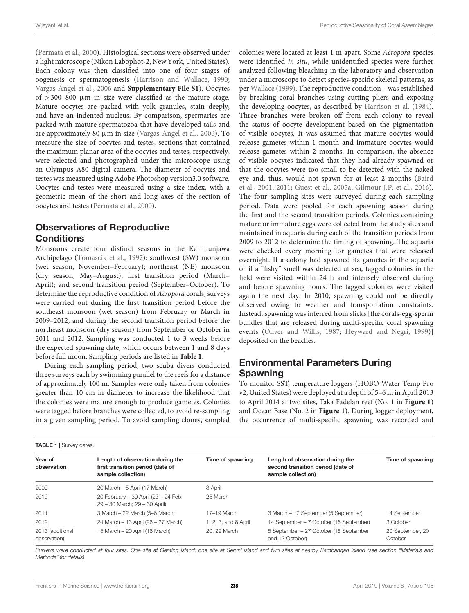[\(Permata et al., 2000\)](#page-19-32). Histological sections were observed under a light microscope (Nikon Labophot-2, New York, United States). Each colony was then classified into one of four stages of oogenesis or spermatogenesis [\(Harrison and Wallace, 1990;](#page-19-12) [Vargas-Ángel et al., 2006](#page-20-5) and **[Supplementary File S1](#page-18-3)**). Oocytes of  $>$ 300–800  $\mu$ m in size were classified as the mature stage. Mature oocytes are packed with yolk granules, stain deeply, and have an indented nucleus. By comparison, spermaries are packed with mature spermatozoa that have developed tails and are approximately 80  $\mu$ m in size [\(Vargas-Ángel et al., 2006\)](#page-20-5). To measure the size of oocytes and testes, sections that contained the maximum planar area of the oocytes and testes, respectively, were selected and photographed under the microscope using an Olympus A80 digital camera. The diameter of oocytes and testes was measured using Adobe Photoshop version3.0 software. Oocytes and testes were measured using a size index, with a geometric mean of the short and long axes of the section of oocytes and testes [\(Permata et al., 2000\)](#page-19-32).

#### Observations of Reproductive **Conditions**

Monsoons create four distinct seasons in the Karimunjawa Archipelago [\(Tomascik et al., 1997\)](#page-20-6): southwest (SW) monsoon (wet season, November–February); northeast (NE) monsoon (dry season, May–August); first transition period (March– April); and second transition period (September–October). To determine the reproductive condition of Acropora corals, surveys were carried out during the first transition period before the southeast monsoon (wet season) from February or March in 2009–2012, and during the second transition period before the northeast monsoon (dry season) from September or October in 2011 and 2012. Sampling was conducted 1 to 3 weeks before the expected spawning date, which occurs between 1 and 8 days before full moon. Sampling periods are listed in **[Table 1](#page-9-0)**.

During each sampling period, two scuba divers conducted three surveys each by swimming parallel to the reefs for a distance of approximately 100 m. Samples were only taken from colonies greater than 10 cm in diameter to increase the likelihood that the colonies were mature enough to produce gametes. Colonies were tagged before branches were collected, to avoid re-sampling in a given sampling period. To avoid sampling clones, sampled colonies were located at least 1 m apart. Some Acropora species were identified in situ, while unidentified species were further analyzed following bleaching in the laboratory and observation under a microscope to detect species-specific skeletal patterns, as per [Wallace](#page-20-7) [\(1999\)](#page-20-7). The reproductive condition – was established by breaking coral branches using cutting pliers and exposing the developing oocytes, as described by [Harrison et al.](#page-19-25) [\(1984\)](#page-19-25). Three branches were broken off from each colony to reveal the status of oocyte development based on the pigmentation of visible oocytes. It was assumed that mature oocytes would release gametes within 1 month and immature oocytes would release gametes within 2 months. In comparison, the absence of visible oocytes indicated that they had already spawned or that the oocytes were too small to be detected with the naked eye and, thus, would not spawn for at least 2 months [\(Baird](#page-19-33) [et al., 2001,](#page-19-33) [2011;](#page-19-34) [Guest et al., 2005a;](#page-19-16) [Gilmour J.P. et al., 2016\)](#page-19-35). The four sampling sites were surveyed during each sampling period. Data were pooled for each spawning season during the first and the second transition periods. Colonies containing mature or immature eggs were collected from the study sites and maintained in aquaria during each of the transition periods from 2009 to 2012 to determine the timing of spawning. The aquaria were checked every morning for gametes that were released overnight. If a colony had spawned its gametes in the aquaria or if a "fishy" smell was detected at sea, tagged colonies in the field were visited within 24 h and intensely observed during and before spawning hours. The tagged colonies were visited again the next day. In 2010, spawning could not be directly observed owing to weather and transportation constraints. Instead, spawning was inferred from slicks [the corals-egg-sperm bundles that are released during multi-specific coral spawning events [\(Oliver and Willis, 1987;](#page-19-10) [Heyward and Negri, 1999\)](#page-19-36)] deposited on the beaches.

## Environmental Parameters During Spawning

To monitor SST, temperature loggers (HOBO Water Temp Pro v2, United States) were deployed at a depth of 5–6 m in April 2013 to April 2014 at two sites, Taka Fadelan reef (No. 1 in **[Figure 1](#page-8-0)**) and Ocean Base (No. 2 in **[Figure 1](#page-8-0)**). During logger deployment, the occurrence of multi-specific spawning was recorded and

<span id="page-9-0"></span>

| <b>TABLE 1   Survey dates.</b>   |                                                                                            |                      |                                                                                             |                             |  |  |  |  |  |  |
|----------------------------------|--------------------------------------------------------------------------------------------|----------------------|---------------------------------------------------------------------------------------------|-----------------------------|--|--|--|--|--|--|
| Year of<br>observation           | Length of observation during the<br>first transition period (date of<br>sample collection) | Time of spawning     | Length of observation during the<br>second transition period (date of<br>sample collection) | Time of spawning            |  |  |  |  |  |  |
| 2009                             | 20 March - 5 April (17 March)                                                              | 3 April              |                                                                                             |                             |  |  |  |  |  |  |
| 2010                             | 20 February - 30 April (23 - 24 Feb;<br>29 - 30 March; 29 - 30 April)                      | 25 March             |                                                                                             |                             |  |  |  |  |  |  |
| 2011                             | 3 March - 22 March (5-6 March)                                                             | 17-19 March          | 3 March - 17 September (5 September)                                                        | 14 September                |  |  |  |  |  |  |
| 2012                             | 24 March - 13 April (26 - 27 March)                                                        | 1, 2, 3, and 8 April | 14 September – 7 October (16 September)                                                     | 3 October                   |  |  |  |  |  |  |
| 2013 (additional<br>observation) | 15 March - 20 April (16 March)                                                             | 20, 22 March         | 5 September – 27 October (15 September<br>and 12 October)                                   | 20 September, 20<br>October |  |  |  |  |  |  |

Surveys were conducted at four sites. One site at Genting Island, one site at Seruni island and two sites at nearby Sambangan Island (see section "Materials and Methods" for details).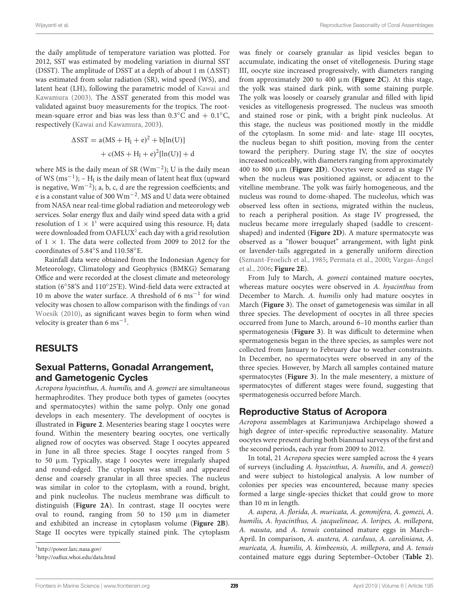the daily amplitude of temperature variation was plotted. For 2012, SST was estimated by modeling variation in diurnal SST (DSST). The amplitude of DSST at a depth of about 1 m  $(ASST)$ was estimated from solar radiation (SR), wind speed (WS), and latent heat (LH), following the parametric model of [Kawai and](#page-19-37) [Kawamura](#page-19-37) [\(2003\)](#page-19-37). The  $\Delta SST$  generated from this model was validated against buoy measurements for the tropics. The rootmean-square error and bias was less than  $0.3°C$  and  $+0.1°C$ , respectively [\(Kawai and Kawamura, 2003\)](#page-19-37).

$$
\Delta SST = a(MS + H_1 + e)^2 + b[\ln(U)] + c(MS + H_1 + e)^2[\ln(U)] + d
$$

where MS is the daily mean of SR ( $\rm Wm^{-2}$ ); U is the daily mean of WS  $(ms^{-1})$ ; – H<sub>1</sub> is the daily mean of latent heat flux (upward is negative, Wm−<sup>2</sup> ); a, b, c, d are the regression coefficients; and e is a constant value of 300 Wm−<sup>2</sup> . MS and U data were obtained from NASA near real-time global radiation and meteorology web services. Solar energy flux and daily wind speed data with a grid resolution of  $1 \times 1^1$  $1 \times 1^1$  were acquired using this resource. H<sub>1</sub> data were downloaded from OAFLUX<sup>[2](#page-10-1)</sup> each day with a grid resolution of  $1 \times 1$ . The data were collected from 2009 to 2012 for the coordinates of 5.84◦ S and 110.58◦E.

Rainfall data were obtained from the Indonesian Agency for Meteorology, Climatology and Geophysics (BMKG) Semarang Office and were recorded at the closest climate and meteorology station (6◦ 58'S and 110◦ 25'E). Wind-field data were extracted at 10 m above the water surface. A threshold of 6 ms−<sup>1</sup> for wind velocity was chosen to allow comparison with the findings of [van](#page-20-8) [Woesik](#page-20-8) [\(2010\)](#page-20-8), as significant waves begin to form when wind velocity is greater than 6  $\text{ms}^{-1}$ .

#### RESULTS

### Sexual Patterns, Gonadal Arrangement, and Gametogenic Cycles

Acropora hyacinthus, A. humilis, and A. gomezi are simultaneous hermaphrodites. They produce both types of gametes (oocytes and spermatocytes) within the same polyp. Only one gonad develops in each mesentery. The development of oocytes is illustrated in **[Figure 2](#page-11-0)**. Mesenteries bearing stage I oocytes were found. Within the mesentery bearing oocytes, one vertically aligned row of oocytes was observed. Stage I oocytes appeared in June in all three species. Stage I oocytes ranged from 5 to 50 µm. Typically, stage I oocytes were irregularly shaped and round-edged. The cytoplasm was small and appeared dense and coarsely granular in all three species. The nucleus was similar in color to the cytoplasm, with a round, bright, and pink nucleolus. The nucleus membrane was difficult to distinguish (**[Figure 2A](#page-11-0)**). In contrast, stage II oocytes were oval to round, ranging from 50 to 150 µm in diameter and exhibited an increase in cytoplasm volume (**[Figure 2B](#page-11-0)**). Stage II oocytes were typically stained pink. The cytoplasm

was finely or coarsely granular as lipid vesicles began to accumulate, indicating the onset of vitellogenesis. During stage III, oocyte size increased progressively, with diameters ranging from approximately 200 to 400 µm (**[Figure 2C](#page-11-0)**). At this stage, the yolk was stained dark pink, with some staining purple. The yolk was loosely or coarsely granular and filled with lipid vesicles as vitellogenesis progressed. The nucleus was smooth and stained rose or pink, with a bright pink nucleolus. At this stage, the nucleus was positioned mostly in the middle of the cytoplasm. In some mid- and late- stage III oocytes, the nucleus began to shift position, moving from the center toward the periphery. During stage IV, the size of oocytes increased noticeably, with diameters ranging from approximately 400 to 800 µm (**[Figure 2D](#page-11-0)**). Oocytes were scored as stage IV when the nucleus was positioned against, or adjacent to the vitelline membrane. The yolk was fairly homogeneous, and the nucleus was round to dome-shaped. The nucleolus, which was observed less often in sections, migrated within the nucleus, to reach a peripheral position. As stage IV progressed, the nucleus became more irregularly shaped (saddle to crescentshaped) and indented (**[Figure 2D](#page-11-0)**). A mature spermatocyte was observed as a "flower bouquet" arrangement, with light pink or lavender-tails aggregated in a generally uniform direction [\(Szmant-Froelich et al., 1985;](#page-20-9) [Permata et al., 2000;](#page-19-32) [Vargas-Ángel](#page-20-5) [et al., 2006;](#page-20-5) **[Figure 2E](#page-11-0)**).

From July to March, A. gomezi contained mature oocytes, whereas mature oocytes were observed in A. hyacinthus from December to March. A. humilis only had mature oocytes in March (**[Figure 3](#page-11-1)**). The onset of gametogenesis was similar in all three species. The development of oocytes in all three species occurred from June to March, around 6–10 months earlier than spermatogenesis (**[Figure 3](#page-11-1)**). It was difficult to determine when spermatogenesis began in the three species, as samples were not collected from January to February due to weather constraints. In December, no spermatocytes were observed in any of the three species. However, by March all samples contained mature spermatocytes (**[Figure 3](#page-11-1)**). In the male mesentery, a mixture of spermatocytes of different stages were found, suggesting that spermatogenesis occurred before March.

#### Reproductive Status of Acropora

Acropora assemblages at Karimunjawa Archipelago showed a high degree of inter-specific reproductive seasonality. Mature oocytes were present during both biannual surveys of the first and the second periods, each year from 2009 to 2012.

In total, 21 Acropora species were sampled across the 4 years of surveys (including A. hyacinthus, A. humilis, and A. gomezi) and were subject to histological analysis. A low number of colonies per species was encountered, because many species formed a large single-species thicket that could grow to more than 10 m in length.

A. aspera, A. florida, A. muricata, A. gemmifera, A. gomezi, A. humilis, A. hyacinthus, A. jacquelineae, A. loripes, A. millepora, A. nasuta, and A. tenuis contained mature eggs in March– April. In comparison, A. austera, A. carduus, A. caroliniana, A. muricata, A. humilis, A. kimbeensis, A. millepora, and A. tenuis contained mature eggs during September–October (**[Table 2](#page-12-0)**).

<span id="page-10-0"></span><sup>1</sup><http://power.larc.nasa.gov/>

<span id="page-10-1"></span><sup>2</sup><http://oaflux.whoi.edu/data.html>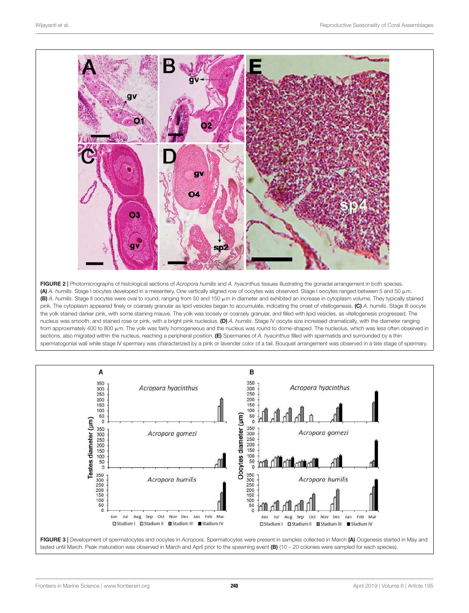

<span id="page-11-0"></span>pink. The cytoplasm appeared finely or coarsely granular as lipid vesicles began to accumulate, indicating the onset of vitellogenesis. (C) A. humilis. Stage III oocyte the yolk stained darker pink, with some staining mauve. The yolk was loosely or coarsely granular, and filled with lipid vesicles, as vitellogenesis progressed. The nucleus was smooth, and stained rose or pink, with a bright pink nucleolus. (D) A. humilis. Stage IV oocyte size increased dramatically, with the diameter ranging from approximately 400 to 800 µm. The yolk was fairly homogeneous and the nucleus was round to dome-shaped. The nucleolus, which was less often observed in sections, also migrated within the nucleus, reaching a peripheral position. (E) Spermaries of A. hyacinthus filled with spermatids and surrounded by a thin spermatogonial wall while stage IV spermary was characterized by a pink or lavender color of a tail. Bouquet arrangement was observed in a late stage of spermary.

<span id="page-11-1"></span>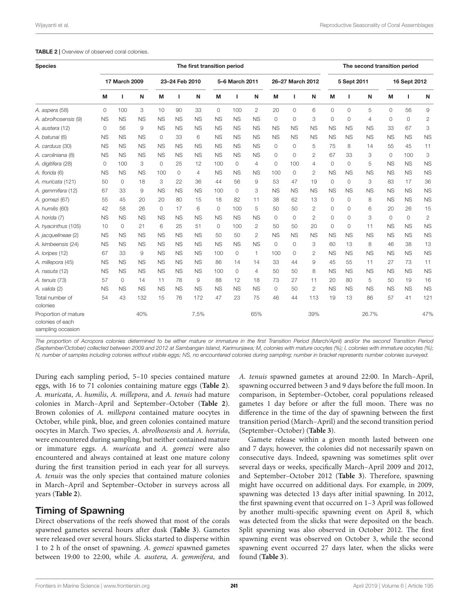#### <span id="page-12-0"></span>TABLE 2 | Overview of observed coral colonies.

| <b>Species</b>                                                | The first transition period |           |           |                |           |                |           |                  |                |             |           | The second transition period |              |           |           |           |                |                |
|---------------------------------------------------------------|-----------------------------|-----------|-----------|----------------|-----------|----------------|-----------|------------------|----------------|-------------|-----------|------------------------------|--------------|-----------|-----------|-----------|----------------|----------------|
|                                                               | 17 March 2009               |           |           | 23-24 Feb 2010 |           | 5-6 March 2011 |           | 26-27 March 2012 |                | 5 Sept 2011 |           |                              | 16 Sept 2012 |           |           |           |                |                |
|                                                               | M                           | ı         | N         | M              | п         | N              | M         | ı                | N              | M           | J.        | N                            | M            | ı.        | N         | M         | п              | N              |
| A. aspera (58)                                                | 0                           | 100       | 3         | 10             | 90        | 33             | $\Omega$  | 100              | $\overline{2}$ | 20          | $\circ$   | 6                            | $\Omega$     | $\Omega$  | 5         | $\Omega$  | 56             | 9              |
| A. abrolhosensis (9)                                          | <b>NS</b>                   | <b>NS</b> | <b>NS</b> | <b>NS</b>      | <b>NS</b> | <b>NS</b>      | <b>NS</b> | <b>NS</b>        | <b>NS</b>      | $\Omega$    | $\circ$   | 3                            | $\circ$      | $\Omega$  | 4         | 0         | $\overline{0}$ | $\overline{c}$ |
| A. austera (12)                                               | 0                           | 56        | 9         | <b>NS</b>      | <b>NS</b> | <b>NS</b>      | <b>NS</b> | <b>NS</b>        | <b>NS</b>      | <b>NS</b>   | <b>NS</b> | <b>NS</b>                    | <b>NS</b>    | <b>NS</b> | <b>NS</b> | 33        | 67             | 3              |
| A. batunai (6)                                                | <b>NS</b>                   | <b>NS</b> | <b>NS</b> | 0              | 33        | 6              | <b>NS</b> | <b>NS</b>        | <b>NS</b>      | <b>NS</b>   | <b>NS</b> | <b>NS</b>                    | <b>NS</b>    | <b>NS</b> | <b>NS</b> | <b>NS</b> | <b>NS</b>      | <b>NS</b>      |
| A. carduus (30)                                               | <b>NS</b>                   | <b>NS</b> | <b>NS</b> | <b>NS</b>      | <b>NS</b> | <b>NS</b>      | <b>NS</b> | <b>NS</b>        | <b>NS</b>      | 0           | $\circ$   | 5                            | 75           | 8         | 14        | 55        | 45             | 11             |
| A. caroliniana (8)                                            | <b>NS</b>                   | <b>NS</b> | <b>NS</b> | <b>NS</b>      | <b>NS</b> | <b>NS</b>      | <b>NS</b> | <b>NS</b>        | <b>NS</b>      | 0           | 0         | $\overline{c}$               | 67           | 33        | 3         | 0         | 100            | 3              |
| A. digitifera (28)                                            | 0                           | 100       | 3         | $\circ$        | 25        | 12             | 100       | $\circ$          | $\overline{4}$ | $\Omega$    | 100       | 4                            | $\circ$      | $\Omega$  | 5         | <b>NS</b> | <b>NS</b>      | <b>NS</b>      |
| A. florida (6)                                                | <b>NS</b>                   | <b>NS</b> | <b>NS</b> | 100            | 0         | $\overline{4}$ | <b>NS</b> | <b>NS</b>        | <b>NS</b>      | 100         | $\circ$   | $\overline{2}$               | <b>NS</b>    | <b>NS</b> | <b>NS</b> | <b>NS</b> | <b>NS</b>      | <b>NS</b>      |
| A. muricata (121)                                             | 50                          | $\circ$   | 18        | 3              | 22        | 36             | 44        | 56               | 9              | 53          | 47        | 19                           | $\circ$      | 0         | 3         | 83        | 17             | 36             |
| A. gemmifera (12)                                             | 67                          | 33        | 9         | <b>NS</b>      | <b>NS</b> | <b>NS</b>      | 100       | $\Omega$         | 3              | <b>NS</b>   | <b>NS</b> | <b>NS</b>                    | <b>NS</b>    | <b>NS</b> | <b>NS</b> | <b>NS</b> | <b>NS</b>      | <b>NS</b>      |
| A. gomezi (67)                                                | 55                          | 45        | 20        | 20             | 80        | 15             | 18        | 82               | 11             | 38          | 62        | 13                           | $\circ$      | $\Omega$  | 8         | <b>NS</b> | <b>NS</b>      | <b>NS</b>      |
| A. humilis (60)                                               | 42                          | 58        | 26        | $\circ$        | 17        | 6              | 0         | 100              | 5              | 50          | 50        | 2                            | $\circ$      | 0         | 6         | 20        | 26             | 15             |
| A. horida (7)                                                 | <b>NS</b>                   | <b>NS</b> | <b>NS</b> | <b>NS</b>      | <b>NS</b> | <b>NS</b>      | <b>NS</b> | <b>NS</b>        | <b>NS</b>      | 0           | $\circ$   | $\overline{c}$               | $\circ$      | $\Omega$  | 3         | $\circ$   | $\circ$        | $\mathbf{2}$   |
| A. hyacinthus (105)                                           | 10                          | $\circ$   | 21        | 6              | 25        | 51             | $\circ$   | 100              | $\mathbf{2}$   | 50          | 50        | 20                           | $\circ$      | $\circ$   | 11        | <b>NS</b> | <b>NS</b>      | <b>NS</b>      |
| A. jacquelineae (2)                                           | <b>NS</b>                   | <b>NS</b> | <b>NS</b> | <b>NS</b>      | <b>NS</b> | <b>NS</b>      | 50        | 50               | $\overline{c}$ | <b>NS</b>   | <b>NS</b> | <b>NS</b>                    | <b>NS</b>    | <b>NS</b> | <b>NS</b> | <b>NS</b> | <b>NS</b>      | <b>NS</b>      |
| A. kimbeensis (24)                                            | <b>NS</b>                   | <b>NS</b> | <b>NS</b> | <b>NS</b>      | <b>NS</b> | <b>NS</b>      | <b>NS</b> | <b>NS</b>        | <b>NS</b>      | $\Omega$    | $\circ$   | 3                            | 60           | 13        | 8         | 46        | 38             | 13             |
| A. loripes (12)                                               | 67                          | 33        | 9         | <b>NS</b>      | <b>NS</b> | <b>NS</b>      | 100       | 0                | $\mathbf{1}$   | 100         | $\circ$   | $\overline{c}$               | <b>NS</b>    | <b>NS</b> | <b>NS</b> | <b>NS</b> | <b>NS</b>      | <b>NS</b>      |
| A. millepora (45)                                             | <b>NS</b>                   | <b>NS</b> | <b>NS</b> | <b>NS</b>      | <b>NS</b> | <b>NS</b>      | 86        | 14               | 14             | 33          | 44        | 9                            | 45           | 55        | 11        | 27        | 73             | 11             |
| A. nasuta (12)                                                | <b>NS</b>                   | <b>NS</b> | <b>NS</b> | <b>NS</b>      | <b>NS</b> | <b>NS</b>      | 100       | 0                | 4              | 50          | 50        | 8                            | <b>NS</b>    | <b>NS</b> | <b>NS</b> | <b>NS</b> | <b>NS</b>      | <b>NS</b>      |
| A. tenuis (73)                                                | 57                          | $\circ$   | 14        | 11             | 78        | 9              | 88        | 12               | 18             | 73          | 27        | 11                           | 20           | 80        | 5         | 50        | 19             | 16             |
| A. valida (2)                                                 | <b>NS</b>                   | <b>NS</b> | <b>NS</b> | <b>NS</b>      | <b>NS</b> | <b>NS</b>      | <b>NS</b> | <b>NS</b>        | <b>NS</b>      | 0           | 50        | $\overline{c}$               | <b>NS</b>    | <b>NS</b> | <b>NS</b> | <b>NS</b> | <b>NS</b>      | <b>NS</b>      |
| Total number of<br>colonies                                   | 54                          | 43        | 132       | 15             | 76        | 172            | 47        | 23               | 75             | 46          | 44        | 113                          | 19           | 13        | 86        | 57        | 41             | 121            |
| Proportion of mature<br>colonies of each<br>sampling occasion |                             |           | 40%       |                |           | 7.5%           |           |                  | 65%            |             |           | 39%                          |              |           | 26.7%     |           |                | 47%            |

The proportion of Acropora colonies determined to be either mature or immature in the first Transition Period (March/April) and/or the second Transition Period (September/October) collected between 2009 and 2012 at Sambangan Island, Karimunjawa; M, colonies with mature oocytes (%); I, colonies with immature oocytes (%); N, number of samples including colonies without visible eggs; NS, no encountered colonies during sampling; number in bracket represents number colonies surveyed.

During each sampling period, 5–10 species contained mature eggs, with 16 to 71 colonies containing mature eggs (**[Table 2](#page-12-0)**). A. muricata, A. humilis, A. millepora, and A. tenuis had mature colonies in March–April and September–October (**[Table 2](#page-12-0)**). Brown colonies of A. millepora contained mature oocytes in October, while pink, blue, and green colonies contained mature oocytes in March. Two species, A. abrolhosensis and A. horrida, were encountered during sampling, but neither contained mature or immature eggs. A. muricata and A. gomezi were also encountered and always contained at least one mature colony during the first transition period in each year for all surveys. A. tenuis was the only species that contained mature colonies in March–April and September–October in surveys across all years (**[Table 2](#page-12-0)**).

### Timing of Spawning

Direct observations of the reefs showed that most of the corals spawned gametes several hours after dusk (**[Table 3](#page-13-0)**). Gametes were released over several hours. Slicks started to disperse within 1 to 2 h of the onset of spawning. A. gomezi spawned gametes between 19:00 to 22:00, while A. austera, A. gemmifera, and

A. tenuis spawned gametes at around 22:00. In March–April, spawning occurred between 3 and 9 days before the full moon. In comparison, in September–October, coral populations released gametes 1 day before or after the full moon. There was no difference in the time of the day of spawning between the first transition period (March–April) and the second transition period (September–October) (**[Table 3](#page-13-0)**).

Gamete release within a given month lasted between one and 7 days; however, the colonies did not necessarily spawn on consecutive days. Indeed, spawning was sometimes split over several days or weeks, specifically March–April 2009 and 2012, and September–October 2012 (**[Table 3](#page-13-0)**). Therefore, spawning might have occurred on additional days. For example, in 2009, spawning was detected 13 days after initial spawning. In 2012, the first spawning event that occurred on 1–3 April was followed by another multi-specific spawning event on April 8, which was detected from the slicks that were deposited on the beach. Split spawning was also observed in October 2012. The first spawning event was observed on October 3, while the second spawning event occurred 27 days later, when the slicks were found (**[Table 3](#page-13-0)**).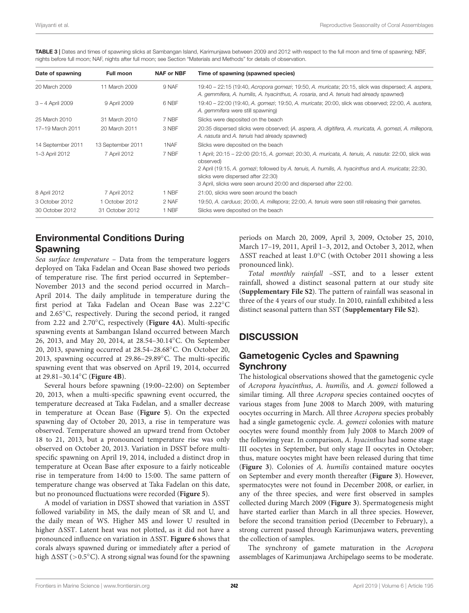| Date of spawning   | <b>Full moon</b>  | <b>NAF or NBF</b> | Time of spawning (spawned species)                                                                                                                                                           |
|--------------------|-------------------|-------------------|----------------------------------------------------------------------------------------------------------------------------------------------------------------------------------------------|
| 20 March 2009      | 11 March 2009     | 9 NAF             | 19:40 – 22:15 (19:40, Acropora gomezi; 19:50, A. muricata; 20:15, slick was dispersed; A. aspera,<br>A. gemmifera, A. humilis, A. hyacinthus, A. rosaria, and A. tenuis had already spawned) |
| $3 - 4$ April 2009 | 9 April 2009      | 6 NBF             | 19:40 – 22:00 (19:40, A. gomezi; 19:50, A. muricata; 20:00, slick was observed; 22:00, A. austera,<br>A. gemmifera were still spawning)                                                      |
| 25 March 2010      | 31 March 2010     | 7 NBF             | Slicks were deposited on the beach                                                                                                                                                           |
| 17-19 March 2011   | 20 March 2011     | 3 NBF             | 20:35 dispersed slicks were observed; (A. aspera, A. digitifera, A. muricata, A. gomezi, A. millepora,<br>A. nasuta and A. tenuis had already spawned)                                       |
| 14 September 2011  | 13 September 2011 | 1NAF              | Slicks were deposited on the beach                                                                                                                                                           |
| 1-3 April 2012     | 7 April 2012      | 7 NBF             | 1 April; 20:15 – 22:00 (20:15, A. gomezi; 20:30, A. muricata, A. tenuis, A. nasuta: 22:00, slick was<br>observed)                                                                            |
|                    |                   |                   | 2 April (19:15, A. gomezi; followed by A. tenuis, A. humilis, A. hyacinthus and A. muricata; 22:30,<br>slicks were dispersed after 22:30)                                                    |
|                    |                   |                   | 3 April, slicks were seen around 20:00 and dispersed after 22:00.                                                                                                                            |
| 8 April 2012       | 7 April 2012      | 1 NBF             | 21:00, slicks were seen around the beach                                                                                                                                                     |
| 3 October 2012     | 1 October 2012    | 2 NAF             | 19:50, A. carduus; 20:00, A. millepora; 22:00, A. tenuis were seen still releasing their gametes.                                                                                            |
| 30 October 2012    | 31 October 2012   | 1 NBF             | Slicks were deposited on the beach                                                                                                                                                           |

<span id="page-13-0"></span>TABLE 3 | Dates and times of spawning slicks at Sambangan Island, Karimunjawa between 2009 and 2012 with respect to the full moon and time of spawning; NBF, nights before full moon; NAF, nights after full moon; see Section "Materials and Methods" for details of observation.

# Environmental Conditions During Spawning

Sea surface temperature – Data from the temperature loggers deployed on Taka Fadelan and Ocean Base showed two periods of temperature rise. The first period occurred in September– November 2013 and the second period occurred in March– April 2014. The daily amplitude in temperature during the first period at Taka Fadelan and Ocean Base was 2.22◦C and 2.65◦C, respectively. During the second period, it ranged from 2.22 and 2.70◦C, respectively (**[Figure 4A](#page-14-0)**). Multi-specific spawning events at Sambangan Island occurred between March 26, 2013, and May 20, 2014, at 28.54–30.14◦C. On September 20, 2013, spawning occurred at 28.54–28.68◦C. On October 20, 2013, spawning occurred at 29.86–29.89◦C. The multi-specific spawning event that was observed on April 19, 2014, occurred at 29.81–30.14◦C (**[Figure 4B](#page-14-0)**).

Several hours before spawning (19:00–22:00) on September 20, 2013, when a multi-specific spawning event occurred, the temperature decreased at Taka Fadelan, and a smaller decrease in temperature at Ocean Base (**[Figure 5](#page-15-0)**). On the expected spawning day of October 20, 2013, a rise in temperature was observed. Temperature showed an upward trend from October 18 to 21, 2013, but a pronounced temperature rise was only observed on October 20, 2013. Variation in DSST before multispecific spawning on April 19, 2014, included a distinct drop in temperature at Ocean Base after exposure to a fairly noticeable rise in temperature from 14:00 to 15:00. The same pattern of temperature change was observed at Taka Fadelan on this date, but no pronounced fluctuations were recorded (**[Figure 5](#page-15-0)**).

A model of variation in DSST showed that variation in  $\Delta \text{SST}$ followed variability in MS, the daily mean of SR and U, and the daily mean of WS. Higher MS and lower U resulted in higher  $\triangle SST$ . Latent heat was not plotted, as it did not have a pronounced influence on variation in 1SST. **[Figure 6](#page-16-0)** shows that corals always spawned during or immediately after a period of high  $\triangle SST$  (>0.5 $^{\circ}$ C). A strong signal was found for the spawning periods on March 20, 2009, April 3, 2009, October 25, 2010, March 17–19, 2011, April 1–3, 2012, and October 3, 2012, when 1SST reached at least 1.0◦C (with October 2011 showing a less pronounced link).

Total monthly rainfall –SST, and to a lesser extent rainfall, showed a distinct seasonal pattern at our study site (**[Supplementary File S2](#page-18-3)**). The pattern of rainfall was seasonal in three of the 4 years of our study. In 2010, rainfall exhibited a less distinct seasonal pattern than SST (**[Supplementary File S2](#page-18-3)**).

# **DISCUSSION**

### Gametogenic Cycles and Spawning Synchrony

The histological observations showed that the gametogenic cycle of Acropora hyacinthus, A. humilis, and A. gomezi followed a similar timing. All three Acropora species contained oocytes of various stages from June 2008 to March 2009, with maturing oocytes occurring in March. All three Acropora species probably had a single gametogenic cycle. A. gomezi colonies with mature oocytes were found monthly from July 2008 to March 2009 of the following year. In comparison, A. hyacinthus had some stage III oocytes in September, but only stage II oocytes in October; thus, mature oocytes might have been released during that time (**[Figure 3](#page-11-1)**). Colonies of A. humilis contained mature oocytes on September and every month thereafter (**[Figure 3](#page-11-1)**). However, spermatocytes were not found in December 2008, or earlier, in any of the three species, and were first observed in samples collected during March 2009 (**[Figure 3](#page-11-1)**). Spermatogenesis might have started earlier than March in all three species. However, before the second transition period (December to February), a strong current passed through Karimunjawa waters, preventing the collection of samples.

The synchrony of gamete maturation in the Acropora assemblages of Karimunjawa Archipelago seems to be moderate.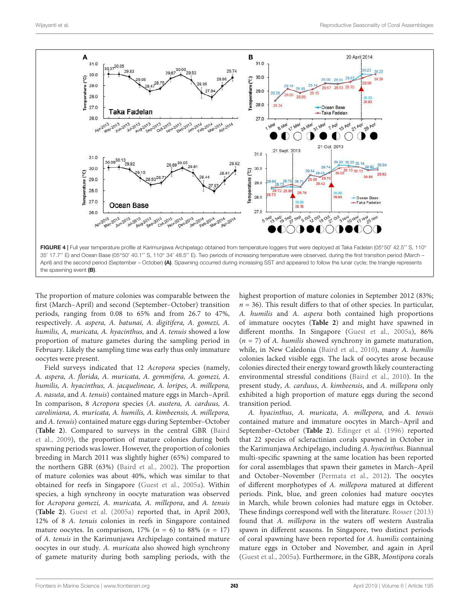

<span id="page-14-0"></span>The proportion of mature colonies was comparable between the first (March–April) and second (September–October) transition periods, ranging from 0.08 to 65% and from 26.7 to 47%, respectively. A. aspera, A. batunai, A. digitifera, A. gomezi, A. humilis, A, muricata, A. hyacinthus, and A. tenuis showed a low proportion of mature gametes during the sampling period in February. Likely the sampling time was early thus only immature oocytes were present.

Field surveys indicated that 12 Acropora species (namely, A. aspera, A. florida, A. muricata, A. gemmifera, A. gomezi, A. humilis, A. hyacinthus, A. jacquelineae, A. loripes, A. millepora, A. nasuta, and A. tenuis) contained mature eggs in March–April. In comparison, 8 Acropora species (A. austera, A. carduus, A. caroliniana, A. muricata, A. humilis, A. kimbeensis, A. millepora, and A. tenuis) contained mature eggs during September–October (**[Table 2](#page-12-0)**). Compared to surveys in the central GBR [\(Baird](#page-19-0) [et al., 2009\)](#page-19-0), the proportion of mature colonies during both spawning periods was lower. However, the proportion of colonies breeding in March 2011 was slightly higher (65%) compared to the northern GBR (63%) [\(Baird et al., 2002\)](#page-19-14). The proportion of mature colonies was about 40%, which was similar to that obtained for reefs in Singapore [\(Guest et al., 2005a\)](#page-19-16). Within species, a high synchrony in oocyte maturation was observed for Acropora gomezi, A. muricata, A. millepora, and A. tenuis (**[Table 2](#page-12-0)**). [Guest et al.](#page-19-16) [\(2005a\)](#page-19-16) reported that, in April 2003, 12% of 8 A. tenuis colonies in reefs in Singapore contained mature oocytes. In comparison, 17% ( $n = 6$ ) to 88% ( $n = 17$ ) of A. tenuis in the Karimunjawa Archipelago contained mature oocytes in our study. A. muricata also showed high synchrony of gamete maturity during both sampling periods, with the highest proportion of mature colonies in September 2012 (83%;  $n = 36$ ). This result differs to that of other species. In particular, A. humilis and A. aspera both contained high proportions of immature oocytes (**[Table 2](#page-12-0)**) and might have spawned in different months. In Singapore [\(Guest et al., 2005a\)](#page-19-16), 86%  $(n = 7)$  of A. humilis showed synchrony in gamete maturation, while, in New Caledonia [\(Baird et al., 2010\)](#page-19-4), many A. humilis colonies lacked visible eggs. The lack of oocytes arose because colonies directed their energy toward growth likely counteracting environmental stressful conditions [\(Baird et al., 2010\)](#page-19-4). In the present study, A. carduus, A. kimbeensis, and A. millepora only exhibited a high proportion of mature eggs during the second transition period.

A. hyacinthus, A. muricata, A. millepora, and A. tenuis contained mature and immature oocytes in March–April and September–October (**[Table 2](#page-12-0)**). [Edinger et al.](#page-19-17) [\(1996\)](#page-19-17) reported that 22 species of scleractinian corals spawned in October in the Karimunjawa Archipelago, including A. hyacinthus. Biannual multi-specific spawning at the same location has been reported for coral assemblages that spawn their gametes in March–April and October–November [\(Permata et al., 2012\)](#page-19-18). The oocytes of different morphotypes of A. millepora matured at different periods. Pink, blue, and green colonies had mature oocytes in March, while brown colonies had mature eggs in October. These findings correspond well with the literature. [Rosser](#page-19-26) [\(2013\)](#page-19-26) found that A. millepora in the waters off western Australia spawn in different seasons. In Singapore, two distinct periods of coral spawning have been reported for A. humilis containing mature eggs in October and November, and again in April [\(Guest et al., 2005a\)](#page-19-16). Furthermore, in the GBR, Montipora corals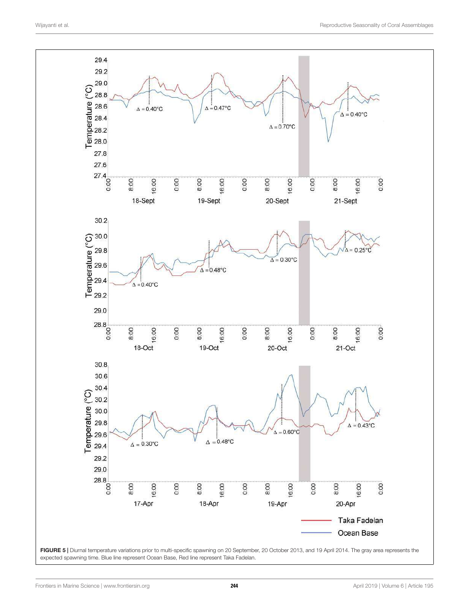<span id="page-15-0"></span>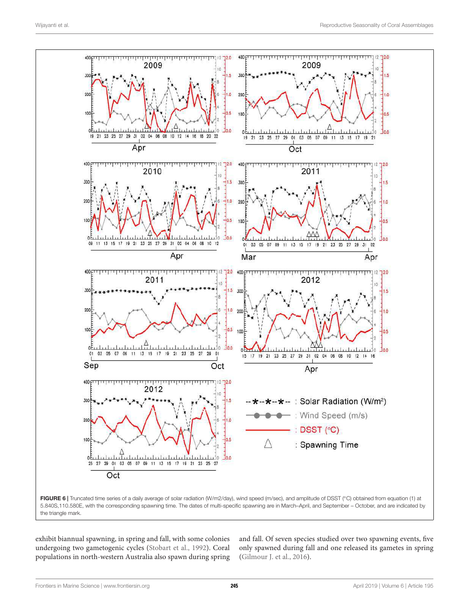

<span id="page-16-0"></span>the triangle mark.

exhibit biannual spawning, in spring and fall, with some colonies undergoing two gametogenic cycles [\(Stobart et al., 1992\)](#page-20-10). Coral populations in north-western Australia also spawn during spring and fall. Of seven species studied over two spawning events, five only spawned during fall and one released its gametes in spring [\(Gilmour J. et al., 2016\)](#page-19-19).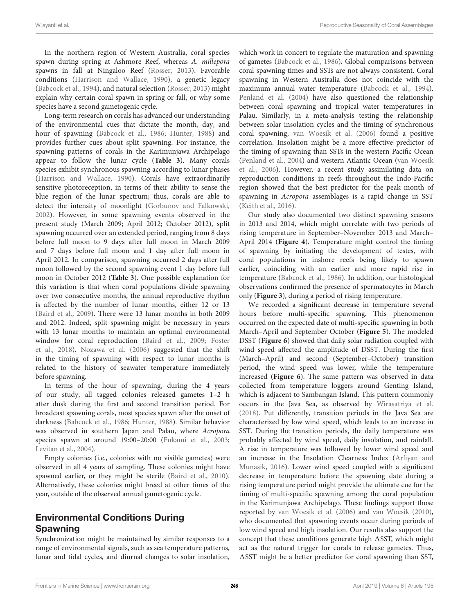In the northern region of Western Australia, coral species spawn during spring at Ashmore Reef, whereas A. millepora spawns in fall at Ningaloo Reef [\(Rosser, 2013\)](#page-19-26). Favorable conditions [\(Harrison and Wallace, 1990\)](#page-19-12), a genetic legacy [\(Babcock et al., 1994\)](#page-18-4), and natural selection [\(Rosser, 2013\)](#page-19-26) might explain why certain coral spawn in spring or fall, or why some species have a second gametogenic cycle.

Long-term research on corals has advanced our understanding of the environmental cues that dictate the month, day, and hour of spawning [\(Babcock et al., 1986;](#page-18-1) [Hunter, 1988\)](#page-19-38) and provides further cues about split spawning. For instance, the spawning patterns of corals in the Karimunjawa Archipelago appear to follow the lunar cycle (**[Table 3](#page-13-0)**). Many corals species exhibit synchronous spawning according to lunar phases [\(Harrison and Wallace, 1990\)](#page-19-12). Corals have extraordinarily sensitive photoreception, in terms of their ability to sense the blue region of the lunar spectrum; thus, corals are able to detect the intensity of moonlight [\(Gorbunov and Falkowski,](#page-19-39) [2002\)](#page-19-39). However, in some spawning events observed in the present study (March 2009; April 2012; October 2012), split spawning occurred over an extended period, ranging from 8 days before full moon to 9 days after full moon in March 2009 and 7 days before full moon and 1 day after full moon in April 2012. In comparison, spawning occurred 2 days after full moon followed by the second spawning event 1 day before full moon in October 2012 (**[Table 3](#page-13-0)**). One possible explanation for this variation is that when coral populations divide spawning over two consecutive months, the annual reproductive rhythm is affected by the number of lunar months, either 12 or 13 [\(Baird et al., 2009\)](#page-19-0). There were 13 lunar months in both 2009 and 2012. Indeed, split spawning might be necessary in years with 13 lunar months to maintain an optimal environmental window for coral reproduction [\(Baird et al., 2009;](#page-19-0) [Foster](#page-19-40) [et al., 2018\)](#page-19-40). [Nozawa et al.](#page-19-41) [\(2006\)](#page-19-41) suggested that the shift in the timing of spawning with respect to lunar months is related to the history of seawater temperature immediately before spawning.

In terms of the hour of spawning, during the 4 years of our study, all tagged colonies released gametes 1–2 h after dusk during the first and second transition period. For broadcast spawning corals, most species spawn after the onset of darkness [\(Babcock et al., 1986;](#page-18-1) [Hunter, 1988\)](#page-19-38). Similar behavior was observed in southern Japan and Palau, where Acropora species spawn at around 19:00–20:00 [\(Fukami et al., 2003;](#page-19-42) [Levitan et al., 2004\)](#page-19-22).

Empty colonies (i.e., colonies with no visible gametes) were observed in all 4 years of sampling. These colonies might have spawned earlier, or they might be sterile [\(Baird et al., 2010\)](#page-19-4). Alternatively, these colonies might breed at other times of the year, outside of the observed annual gametogenic cycle.

# Environmental Conditions During Spawning

Synchronization might be maintained by similar responses to a range of environmental signals, such as sea temperature patterns, lunar and tidal cycles, and diurnal changes to solar insolation, which work in concert to regulate the maturation and spawning of gametes [\(Babcock et al., 1986\)](#page-18-1). Global comparisons between coral spawning times and SSTs are not always consistent. Coral spawning in Western Australia does not coincide with the maximum annual water temperature [\(Babcock et al., 1994\)](#page-18-4). [Penland et al.](#page-19-28) [\(2004\)](#page-19-28) have also questioned the relationship between coral spawning and tropical water temperatures in Palau. Similarly, in a meta-analysis testing the relationship between solar insolation cycles and the timing of synchronous coral spawning, [van Woesik et al.](#page-20-2) [\(2006\)](#page-20-2) found a positive correlation. Insolation might be a more effective predictor of the timing of spawning than SSTs in the western Pacific Ocean [\(Penland et al., 2004\)](#page-19-28) and western Atlantic Ocean [\(van Woesik](#page-20-2) [et al., 2006\)](#page-20-2). However, a recent study assimilating data on reproduction conditions in reefs throughout the Indo-Pacific region showed that the best predictor for the peak month of spawning in Acropora assemblages is a rapid change in SST [\(Keith et al., 2016\)](#page-19-24).

Our study also documented two distinct spawning seasons in 2013 and 2014, which might correlate with two periods of rising temperature in September–November 2013 and March– April 2014 (**[Figure 4](#page-14-0)**). Temperature might control the timing of spawning by initiating the development of testes, with coral populations in inshore reefs being likely to spawn earlier, coinciding with an earlier and more rapid rise in temperature [\(Babcock et al., 1986\)](#page-18-1). In addition, our histological observations confirmed the presence of spermatocytes in March only (**[Figure 3](#page-11-1)**), during a period of rising temperature.

We recorded a significant decrease in temperature several hours before multi-specific spawning. This phenomenon occurred on the expected date of multi-specific spawning in both March–April and September October (**[Figure 5](#page-15-0)**). The modeled DSST (**[Figure 6](#page-16-0)**) showed that daily solar radiation coupled with wind speed affected the amplitude of DSST. During the first (March–April) and second (September–October) transition period, the wind speed was lower, while the temperature increased (**[Figure 6](#page-16-0)**). The same pattern was observed in data collected from temperature loggers around Genting Island, which is adjacent to Sambangan Island. This pattern commonly occurs in the Java Sea, as observed by [Wirasatriya et al.](#page-20-11) [\(2018\)](#page-20-11). Put differently, transition periods in the Java Sea are characterized by low wind speed, which leads to an increase in SST. During the transition periods, the daily temperature was probably affected by wind speed, daily insolation, and rainfall. A rise in temperature was followed by lower wind speed and an increase in the Insolation Clearness Index [\(Arfiyan and](#page-18-5) [Munasik, 2016\)](#page-18-5). Lower wind speed coupled with a significant decrease in temperature before the spawning date during a rising temperature period might provide the ultimate cue for the timing of multi-specific spawning among the coral population in the Karimunjawa Archipelago. These findings support those reported by [van Woesik et al.](#page-20-2) [\(2006\)](#page-20-2) and [van Woesik](#page-20-8) [\(2010\)](#page-20-8), who documented that spawning events occur during periods of low wind speed and high insolation. Our results also support the concept that these conditions generate high  $\triangle SST$ , which might act as the natural trigger for corals to release gametes. Thus,  $\Delta$ SST might be a better predictor for coral spawning than SST,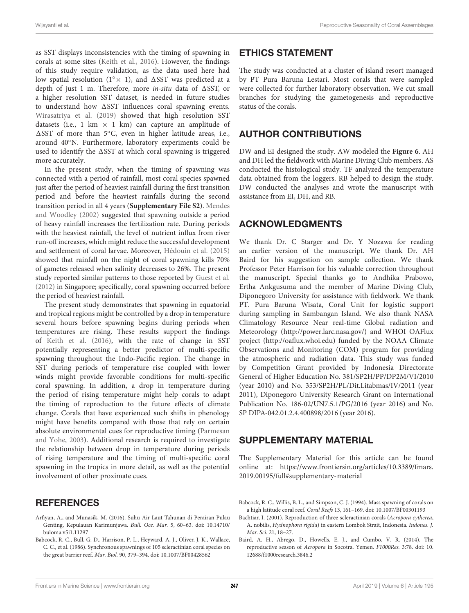as SST displays inconsistencies with the timing of spawning in corals at some sites [\(Keith et al., 2016\)](#page-19-24). However, the findings of this study require validation, as the data used here had low spatial resolution ( $1° \times 1$ ), and  $\Delta SST$  was predicted at a depth of just 1 m. Therefore, more in-situ data of  $\triangle SST$ , or a higher resolution SST dataset, is needed in future studies to understand how  $\Delta SST$  influences coral spawning events. [Wirasatriya et al.](#page-20-12) [\(2019\)](#page-20-12) showed that high resolution SST datasets (i.e., 1 km  $\times$  1 km) can capture an amplitude of 1SST of more than 5◦C, even in higher latitude areas, i.e., around 40◦N. Furthermore, laboratory experiments could be used to identify the  $\triangle SST$  at which coral spawning is triggered more accurately.

In the present study, when the timing of spawning was connected with a period of rainfall, most coral species spawned just after the period of heaviest rainfall during the first transition period and before the heaviest rainfalls during the second transition period in all 4 years (**[Supplementary File S2](#page-18-3)**). [Mendes](#page-19-27) [and Woodley](#page-19-27) [\(2002\)](#page-19-27) suggested that spawning outside a period of heavy rainfall increases the fertilization rate. During periods with the heaviest rainfall, the level of nutrient influx from river run-off increases, which might reduce the successful development and settlement of coral larvae. Moreover, [Hédouin et al.](#page-19-43) [\(2015\)](#page-19-43) showed that rainfall on the night of coral spawning kills 70% of gametes released when salinity decreases to 26%. The present study reported similar patterns to those reported by [Guest et al.](#page-19-29) [\(2012\)](#page-19-29) in Singapore; specifically, coral spawning occurred before the period of heaviest rainfall.

The present study demonstrates that spawning in equatorial and tropical regions might be controlled by a drop in temperature several hours before spawning begins during periods when temperatures are rising. These results support the findings of [Keith et al.](#page-19-24) [\(2016\)](#page-19-24), with the rate of change in SST potentially representing a better predictor of multi-specific spawning throughout the Indo-Pacific region. The change in SST during periods of temperature rise coupled with lower winds might provide favorable conditions for multi-specific coral spawning. In addition, a drop in temperature during the period of rising temperature might help corals to adapt the timing of reproduction to the future effects of climate change. Corals that have experienced such shifts in phenology might have benefits compared with those that rely on certain absolute environmental cues for reproductive timing [\(Parmesan](#page-19-44) [and Yohe, 2003\)](#page-19-44). Additional research is required to investigate the relationship between drop in temperature during periods of rising temperature and the timing of multi-specific coral spawning in the tropics in more detail, as well as the potential involvement of other proximate cues.

#### **REFERENCES**

- <span id="page-18-5"></span>Arfiyan, A., and Munasik, M. (2016). Suhu Air Laut Tahunan di Perairan Pulau Genting, Kepulauan Karimunjawa. Bull. Oce. Mar. 5, 60–63. [doi: 10.14710/](https://doi.org/10.14710/buloma.v5i1.11297) [buloma.v5i1.11297](https://doi.org/10.14710/buloma.v5i1.11297)
- <span id="page-18-1"></span>Babcock, R. C., Bull, G. D., Harrison, P. L., Heyward, A. J., Oliver, J. K., Wallace, C. C., et al. (1986). Synchronous spawnings of 105 scleractinian coral species on the great barrier reef. Mar. Biol. 90, 379–394. [doi: 10.1007/BF00428562](https://doi.org/10.1007/BF00428562)

### ETHICS STATEMENT

The study was conducted at a cluster of island resort managed by PT Pura Baruna Lestari. Most corals that were sampled were collected for further laboratory observation. We cut small branches for studying the gametogenesis and reproductive status of the corals.

### AUTHOR CONTRIBUTIONS

DW and EI designed the study. AW modeled the **[Figure 6](#page-16-0)**. AH and DH led the fieldwork with Marine Diving Club members. AS conducted the histological study. TF analyzed the temperature data obtained from the loggers. RB helped to design the study. DW conducted the analyses and wrote the manuscript with assistance from EI, DH, and RB.

#### ACKNOWLEDGMENTS

We thank Dr. C Starger and Dr. Y Nozawa for reading an earlier version of the manuscript. We thank Dr. AH Baird for his suggestion on sample collection. We thank Professor Peter Harrison for his valuable correction throughout the manuscript. Special thanks go to Andhika Prabowo, Ertha Ankgusuma and the member of Marine Diving Club, Diponegoro University for assistance with fieldwork. We thank PT. Pura Baruna Wisata, Coral Unit for logistic support during sampling in Sambangan Island. We also thank NASA Climatology Resource Near real-time Global radiation and Meteorology [\(http://power.larc.nasa.gov/\)](http://power.larc.nasa.gov/) and WHOI OAFlux project [\(http://oaflux.whoi.edu\)](http://oaflux.whoi.edu) funded by the NOAA Climate Observations and Monitoring (COM) program for providing the atmospheric and radiation data. This study was funded by Competition Grant provided by Indonesia Directorate General of Higher Education No. 381/SP2H/PP/DP2M/VI/2010 (year 2010) and No. 353/SP2H/PL/Dit.Litabmas/IV/2011 (year 2011), Diponegoro University Research Grant on International Publication No. 186-02/UN7.5.1/PG/2016 (year 2016) and No. SP DIPA-042.01.2.4.400898/2016 (year 2016).

### <span id="page-18-3"></span>SUPPLEMENTARY MATERIAL

The Supplementary Material for this article can be found online at: [https://www.frontiersin.org/articles/10.3389/fmars.](https://www.frontiersin.org/articles/10.3389/fmars.2019.00195/full#supplementary-material) [2019.00195/full#supplementary-material](https://www.frontiersin.org/articles/10.3389/fmars.2019.00195/full#supplementary-material)

<span id="page-18-4"></span>Babcock, R. C., Willis, B. L., and Simpson, C. J. (1994). Mass spawning of corals on a high latitude coral reef. Coral Reefs 13, 161–169. [doi: 10.1007/BF00301193](https://doi.org/10.1007/BF00301193)

- <span id="page-18-2"></span>Bachtiar, I. (2001). Reproduction of three scleractinian corals (Acropora cytherea, A. nobilis, Hydnophora rigida) in eastern Lombok Strait, Indonesia. Indones. J. Mar. Sci. 21, 18–27.
- <span id="page-18-0"></span>Baird, A. H., Abrego, D., Howells, E. J., and Cumbo, V. R. (2014). The reproductive season of Acropora in Socotra. Yemen. F1000Res. 3:78. [doi: 10.](https://doi.org/10.12688/f1000research.3846.2) [12688/f1000research.3846.2](https://doi.org/10.12688/f1000research.3846.2)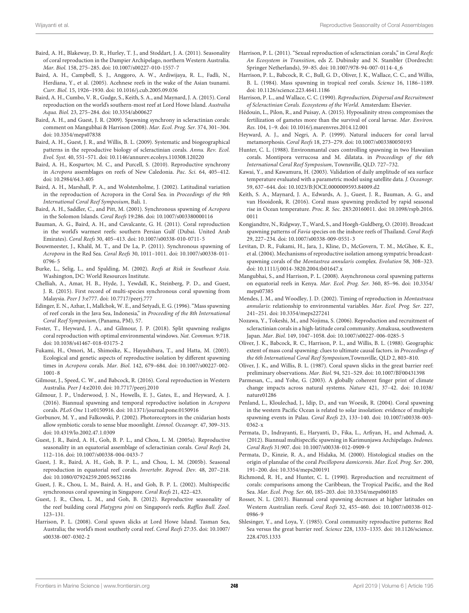- <span id="page-19-34"></span>Baird, A. H., Blakeway, D. R., Hurley, T. J., and Stoddart, J. A. (2011). Seasonality of coral reproduction in the Dampier Archipelago, northern Western Australia. Mar. Biol. 158, 275–285. [doi: 10.1007/s00227-010-1557-7](https://doi.org/10.1007/s00227-010-1557-7)
- <span id="page-19-31"></span>Baird, A. H., Campbell, S. J., Anggoro, A. W., Ardiwijaya, R. L., Fadli, N., Herdiana, Y., et al. (2005). Acehnese reefs in the wake of the Asian tsunami. Curr. Biol. 15, 1926–1930. [doi: 10.1016/j.cub.2005.09.036](https://doi.org/10.1016/j.cub.2005.09.036)
- <span id="page-19-7"></span>Baird, A. H., Cumbo, V. R., Gudge, S., Keith, S. A., and Maynard, J. A. (2015). Coral reproduction on the world's southern-most reef at Lord Howe Island. Australia Aqua. Biol. 23, 275–284. [doi: 10.3354/ab00627](https://doi.org/10.3354/ab00627)
- <span id="page-19-21"></span>Baird, A. H., and Guest, J. R. (2009). Spawning synchrony in scleractinian corals: comment on Mangubhai & Harrison (2008). Mar. Ecol. Prog. Ser. 374, 301–304. [doi: 10.3354/meps07838](https://doi.org/10.3354/meps07838)
- <span id="page-19-0"></span>Baird, A. H., Guest, J. R., and Willis, B. L. (2009). Systematic and biogeographical patterns in the reproductive biology of scleractinian corals. Annu. Rev. Ecol. Evol. Syst. 40, 551–571. [doi: 10.1146/annurev.ecolsys.110308.120220](https://doi.org/10.1146/annurev.ecolsys.110308.120220)
- <span id="page-19-4"></span>Baird, A. H., Kospartov, M. C., and Purcell, S. (2010). Reproductive synchrony in Acropora assemblages on reefs of New Caledonia. Pac. Sci. 64, 405–412. [doi: 10.2984/64.3.405](https://doi.org/10.2984/64.3.405)
- <span id="page-19-14"></span>Baird, A. H., Marshall, P. A., and Wolstenholme, J. (2002). Latitudinal variation in the reproduction of Acropora in the Coral Sea. in Proceedings of the 9th International Coral Reef Symposium, Bali. 1.
- <span id="page-19-33"></span>Baird, A. H., Saddler, C., and Pitt, M. (2001). Synchronous spawning of Acropora in the Solomon Islands. Coral Reefs 19:286. [doi: 10.1007/s003380000116](https://doi.org/10.1007/s003380000116)
- <span id="page-19-5"></span>Bauman, A. G., Baird, A. H., and Cavalcante, G. H. (2011). Coral reproduction in the world's warmest reefs: southern Persian Gulf (Dubai. United Arab Emirates). Coral Reefs 30, 405–413. [doi: 10.1007/s00338-010-0711-5](https://doi.org/10.1007/s00338-010-0711-5)
- <span id="page-19-2"></span>Bouwmeester, J., Khalil, M. T., and De La, P. (2011). Synchronous spawning of Acropora in the Red Sea. Coral Reefs 30, 1011–1011. [doi: 10.1007/s00338-011-](https://doi.org/10.1007/s00338-011-0796-5) [0796-5](https://doi.org/10.1007/s00338-011-0796-5)
- <span id="page-19-30"></span>Burke, L., Selig, L., and Spalding, M. (2002). Reefs at Risk in Southeast Asia. Washington, DC: World Resources Institute.
- <span id="page-19-3"></span>Chelliah, A., Amar, H. B., Hyde, J., Yewdall, K., Steinberg, P. D., and Guest, J. R. (2015). First record of multi-species synchronous coral spawning from Malaysia. Peer J 3:e777. [doi: 10.7717/peerj.777](https://doi.org/10.7717/peerj.777)
- <span id="page-19-17"></span>Edinger, E. N., Azhar, I., Mallchok, W. E., and Setyadi, E. G. (1996). "Mass spawning of reef corals in the Java Sea, Indonesia," in Proceeding of the 8th International Coral Reef Symposium, (Panama, PM), 57.
- <span id="page-19-40"></span>Foster, T., Heyward, J. A., and Gilmour, J. P. (2018). Split spawning realigns coral reproduction with optimal environmental windows. Nat. Commun. 9:718. [doi: 10.1038/s41467-018-03175-2](https://doi.org/10.1038/s41467-018-03175-2)
- <span id="page-19-42"></span>Fukami, H., Omori, M., Shimoike, K., Hayashibara, T., and Hatta, M. (2003). Ecological and genetic aspects of reproductive isolation by different spawning times in Acropora corals. Mar. Biol. 142, 679–684. [doi: 10.1007/s00227-002-](https://doi.org/10.1007/s00227-002-1001-8) [1001-8](https://doi.org/10.1007/s00227-002-1001-8)
- <span id="page-19-19"></span>Gilmour, J., Speed, C. W., and Babcock, R. (2016). Coral reproduction in Western Australia. Peer J 4:e2010. [doi: 10.7717/peerj.2010](https://doi.org/10.7717/peerj.2010)
- <span id="page-19-35"></span>Gilmour, J. P., Underwood, J. N., Howells, E. J., Gates, E., and Heyward, A. J. (2016). Biannual spawning and temporal reproductive isolation in Acropora corals. PLoS One 11:e0150916. [doi: 10.1371/journal.pone.0150916](https://doi.org/10.1371/journal.pone.0150916)
- <span id="page-19-39"></span>Gorbunov, M. Y., and Falkowski, P. (2002). Photoreceptors in the cnidarian hosts allow symbiotic corals to sense blue moonlight. Limnol. Oceanogr. 47, 309–315. [doi: 10.4319/lo.2002.47.1.0309](https://doi.org/10.4319/lo.2002.47.1.0309)
- <span id="page-19-16"></span>Guest, J. R., Baird, A. H., Goh, B. P. L., and Chou, L. M. (2005a). Reproductive seasonality in an equatorial assemblage of scleractinian corals. Coral Reefs 24, 112–116. [doi: 10.1007/s00338-004-0433-7](https://doi.org/10.1007/s00338-004-0433-7)
- <span id="page-19-23"></span>Guest, J. R., Baird, A. H., Goh, B. P. L., and Chou, L. M. (2005b). Seasonal reproduction in equatorial reef corals. Invertebr. Reprod. Dev. 48, 207–218. [doi: 10.1080/07924259.2005.9652186](https://doi.org/10.1080/07924259.2005.9652186)
- <span id="page-19-15"></span>Guest, J. R., Chou, L. M., Baird, A. H., and Goh, B. P. L. (2002). Multispecific synchronous coral spawning in Singapore. Coral Reefs 21, 422–423.
- <span id="page-19-29"></span>Guest, J. R., Chou, L. M., and Goh, B. (2012). Reproductive seasonality of the reef building coral Platygyra pini on Singapore's reefs. Raffles Bull. Zool. 123–131.
- <span id="page-19-6"></span>Harrison, P. L. (2008). Coral spawn slicks at Lord Howe Island. Tasman Sea, Australia; the world's most southerly coral reef. Coral Reefs 27:35. [doi: 10.1007/](https://doi.org/10.1007/s00338-007-0302-2) [s00338-007-0302-2](https://doi.org/10.1007/s00338-007-0302-2)
- <span id="page-19-8"></span>Harrison, P. L. (2011). "Sexual reproduction of scleractinian corals," in Coral Reefs: An Ecosystem in Transition, eds Z. Dubinsky and N. Stambler (Dordrecht: Springer Netherlands), 59–85. [doi: 10.1007/978-94-007-0114-4\\_6](https://doi.org/10.1007/978-94-007-0114-4_6)
- <span id="page-19-25"></span>Harrison, P. L., Babcock, R. C., Bull, G. D., Oliver, J. K., Wallace, C. C., and Willis, B. L. (1984). Mass spawning in tropical reef corals. Science 16, 1186–1189. [doi: 10.1126/science.223.4641.1186](https://doi.org/10.1126/science.223.4641.1186)
- <span id="page-19-12"></span>Harrison, P. L., and Wallace, C. C. (1990). Reproduction, Dispersal and Recruitment of Scleractinian Corals. Ecosystems of the World. Amsterdam: Elsevier.
- <span id="page-19-43"></span>Hédouin, L., Pilon, R., and Puisay, A. (2015). Hyposalinity stress compromises the fertilization of gametes more than the survival of coral larvae. Mar. Environ. Res. 104, 1–9. [doi: 10.1016/j.marenvres.2014.12.001](https://doi.org/10.1016/j.marenvres.2014.12.001)
- <span id="page-19-36"></span>Heyward, A. J., and Negri, A. P. (1999). Natural inducers for coral larval metamorphosis. Coral Reefs 18, 273–279. [doi: 10.1007/s003380050193](https://doi.org/10.1007/s003380050193)
- <span id="page-19-38"></span>Hunter, C. L. (1988). Environmantal cues controlling spawning in two Hawaiian corals. Montipora verrucosa and M. dilatata. in Proceedings of the 6th International Coral Reef Symposium, Townsville, QLD. 727–732.
- <span id="page-19-37"></span>Kawai, Y., and Kawamura, H. (2003). Validation of daily amplitude of sea surface temperature evaluated with a parametric model using satellite data. J. Oceanogr. 59, 637–644. [doi: 10.1023/B:JOCE.0000009593.84009.d2](https://doi.org/10.1023/B:JOCE.0000009593.84009.d2)
- <span id="page-19-24"></span>Keith, S. A., Maynard, J. A., Edwards, A. J., Guest, J. R., Bauman, A. G., and van Hooidonk, R. (2016). Coral mass spawning predicted by rapid seasonal rise in Ocean temperature. Proc. R. Soc. 283:20160011. [doi: 10.1098/rspb.2016.](https://doi.org/10.1098/rspb.2016.0011) [0011](https://doi.org/10.1098/rspb.2016.0011)
- <span id="page-19-1"></span>Kongjandtre, N., Ridgway, T., Ward, S., and Hoegh-Guldberg, O. (2010). Broadcast spawning patterns of Favia species on the inshore reefs of Thailand. Coral Reefs 29, 227–234. [doi: 10.1007/s00338-009-0551-3](https://doi.org/10.1007/s00338-009-0551-3)
- <span id="page-19-22"></span>Levitan, D. R., Fukami, H., Jara, J., Kline, D., McGovern, T. M., McGhee, K. E., et al. (2004). Mechanisms of reproductive isolation among sympatric broadcastspawning corals of the Montastrea annularis complex. Evolution 58, 308–323. [doi: 10.1111/j.0014-3820.2004.tb01647.x](https://doi.org/10.1111/j.0014-3820.2004.tb01647.x)
- <span id="page-19-20"></span>Mangubhai, S., and Harrison, P. L. (2008). Asynchronous coral spawning patterns on equatorial reefs in Kenya. Mar. Ecol. Prog. Ser. 360, 85–96. [doi: 10.3354/](https://doi.org/10.3354/meps07385) [meps07385](https://doi.org/10.3354/meps07385)
- <span id="page-19-27"></span>Mendes, J. M., and Woodley, J. D. (2002). Timing of reproduction in Montastraea annularis: relationship to environmental variables. Mar. Ecol. Prog. Ser. 227, 241–251. [doi: 10.3354/meps227241](https://doi.org/10.3354/meps227241)
- <span id="page-19-41"></span>Nozawa, Y., Tokeshi, M., and Nojima, S. (2006). Reproduction and recruitment of scleractinian corals in a high-latitude coral community. Amakusa, southwestern Japan. Mar. Biol. 149, 1047–1058. [doi: 10.1007/s00227-006-0285-5](https://doi.org/10.1007/s00227-006-0285-5)
- <span id="page-19-11"></span>Oliver, J. K., Babcock, R. C., Harrison, P. L., and Willis, B. L. (1988). Geographic extent of mass coral spawning: clues to ultimate causal factors. in Proceedings of the 6th International Coral Reef Symposium,Townsville, QLD 2, 803–810.
- <span id="page-19-10"></span>Oliver, J. K., and Willis, B. L. (1987). Coral spawn slicks in the great barrier reef: preliminary observations. Mar. Biol. 94, 521–529. [doi: 10.1007/BF00431398](https://doi.org/10.1007/BF00431398)
- <span id="page-19-44"></span>Parmesan, C., and Yohe, G. (2003). A globally coherent finger print of climate change impacts across natural systems. Nature 421, 37–42. [doi: 10.1038/](https://doi.org/10.1038/nature01286) [nature01286](https://doi.org/10.1038/nature01286)
- <span id="page-19-28"></span>Penland, L., Kloulechad, J., Idip, D., and van Woesik, R. (2004). Coral spawning in the western Pacific Ocean is related to solar insolation: evidence of multiple spawning events in Palau. Coral Reefs 23, 133–140. [doi: 10.1007/s00338-003-](https://doi.org/10.1007/s00338-003-0362-x) [0362-x](https://doi.org/10.1007/s00338-003-0362-x)
- <span id="page-19-18"></span>Permata, D., Indrayanti, E., Haryanti, D., Fika, L., Arfiyan, H., and Achmad, A. (2012). Biannual multispecific spawning in Karimunjawa Archipelago. Indones. Coral Reefs 31:907. [doi: 10.1007/s00338-012-0909-9](https://doi.org/10.1007/s00338-012-0909-9)
- <span id="page-19-32"></span>Permata, D., Kinzie, R. A., and Hidaka, M. (2000). Histological studies on the origin of planulae of the coral Pocillopora damicornis. Mar. Ecol. Prog. Ser. 200, 191–200. [doi: 10.3354/meps200191](https://doi.org/10.3354/meps200191)
- <span id="page-19-13"></span>Richmond, R. H., and Hunter, C. L. (1990). Reproduction and recruitment of corals: comparisons among the Caribbean, the Tropical Pacific, and the Red Sea. Mar. Ecol. Prog. Ser. 60, 185–203. [doi: 10.3354/meps060185](https://doi.org/10.3354/meps060185)
- <span id="page-19-26"></span>Rosser, N. L. (2013). Biannual coral spawning decreases at higher latitudes on Western Australian reefs. Coral Reefs 32, 455–460. [doi: 10.1007/s00338-012-](https://doi.org/10.1007/s00338-012-0986-9) [0986-9](https://doi.org/10.1007/s00338-012-0986-9)
- <span id="page-19-9"></span>Shlesinger, Y., and Loya, Y. (1985). Coral community reproductive patterns: Red Sea versus the great barrier reef. Science 228, 1333–1335. [doi: 10.1126/science.](https://doi.org/10.1126/science.228.4705.1333) [228.4705.1333](https://doi.org/10.1126/science.228.4705.1333)